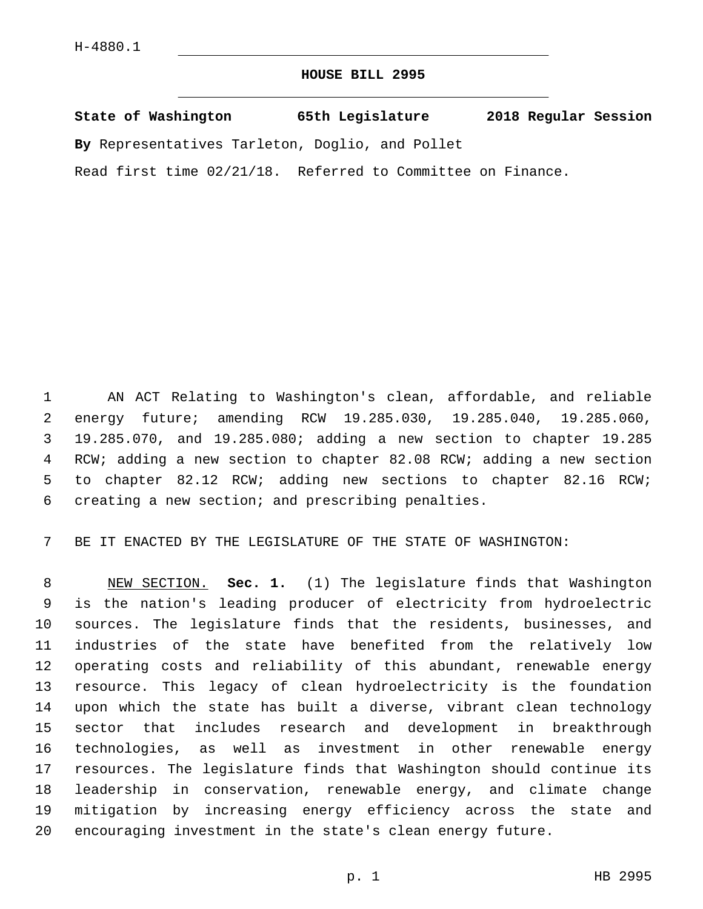## **HOUSE BILL 2995**

**State of Washington 65th Legislature 2018 Regular Session By** Representatives Tarleton, Doglio, and Pollet

Read first time 02/21/18. Referred to Committee on Finance.

 AN ACT Relating to Washington's clean, affordable, and reliable energy future; amending RCW 19.285.030, 19.285.040, 19.285.060, 19.285.070, and 19.285.080; adding a new section to chapter 19.285 RCW; adding a new section to chapter 82.08 RCW; adding a new section to chapter 82.12 RCW; adding new sections to chapter 82.16 RCW; 6 creating a new section; and prescribing penalties.

BE IT ENACTED BY THE LEGISLATURE OF THE STATE OF WASHINGTON:

 NEW SECTION. **Sec. 1.** (1) The legislature finds that Washington is the nation's leading producer of electricity from hydroelectric sources. The legislature finds that the residents, businesses, and industries of the state have benefited from the relatively low operating costs and reliability of this abundant, renewable energy resource. This legacy of clean hydroelectricity is the foundation upon which the state has built a diverse, vibrant clean technology sector that includes research and development in breakthrough technologies, as well as investment in other renewable energy resources. The legislature finds that Washington should continue its leadership in conservation, renewable energy, and climate change mitigation by increasing energy efficiency across the state and encouraging investment in the state's clean energy future.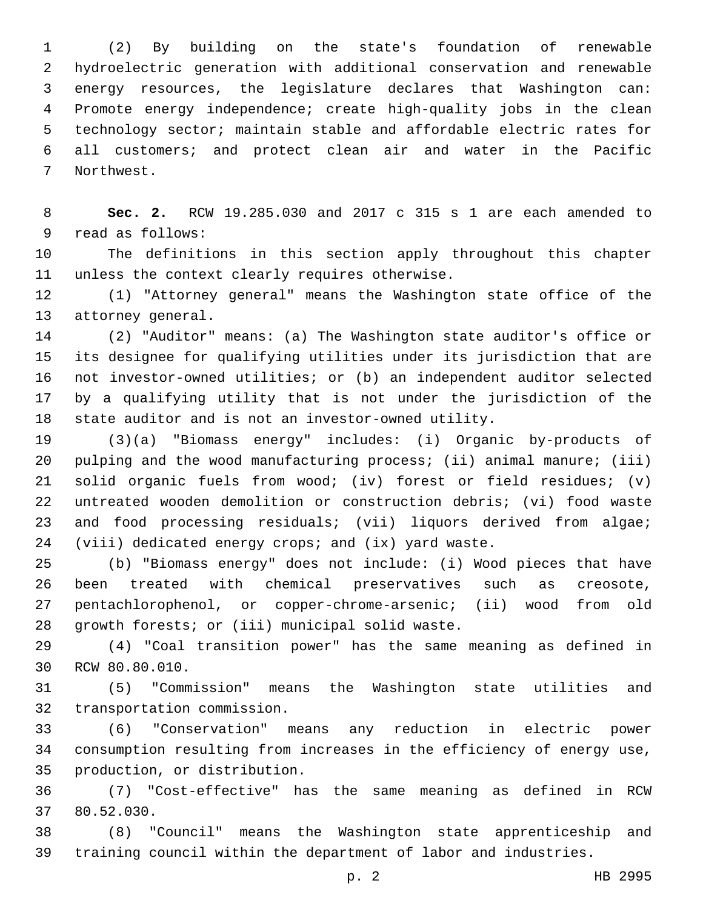(2) By building on the state's foundation of renewable hydroelectric generation with additional conservation and renewable energy resources, the legislature declares that Washington can: Promote energy independence; create high-quality jobs in the clean technology sector; maintain stable and affordable electric rates for all customers; and protect clean air and water in the Pacific 7 Northwest.

 **Sec. 2.** RCW 19.285.030 and 2017 c 315 s 1 are each amended to 9 read as follows:

 The definitions in this section apply throughout this chapter 11 unless the context clearly requires otherwise.

 (1) "Attorney general" means the Washington state office of the 13 attorney general.

 (2) "Auditor" means: (a) The Washington state auditor's office or its designee for qualifying utilities under its jurisdiction that are not investor-owned utilities; or (b) an independent auditor selected by a qualifying utility that is not under the jurisdiction of the state auditor and is not an investor-owned utility.

 (3)(a) "Biomass energy" includes: (i) Organic by-products of 20 pulping and the wood manufacturing process; (ii) animal manure; (iii) solid organic fuels from wood; (iv) forest or field residues; (v) untreated wooden demolition or construction debris; (vi) food waste 23 and food processing residuals; (vii) liquors derived from algae; (viii) dedicated energy crops; and (ix) yard waste.

 (b) "Biomass energy" does not include: (i) Wood pieces that have been treated with chemical preservatives such as creosote, pentachlorophenol, or copper-chrome-arsenic; (ii) wood from old 28 qrowth forests; or (iii) municipal solid waste.

 (4) "Coal transition power" has the same meaning as defined in 30 RCW 80.80.010.

 (5) "Commission" means the Washington state utilities and 32 transportation commission.

 (6) "Conservation" means any reduction in electric power consumption resulting from increases in the efficiency of energy use, 35 production, or distribution.

 (7) "Cost-effective" has the same meaning as defined in RCW 37 80.52.030.

 (8) "Council" means the Washington state apprenticeship and training council within the department of labor and industries.

p. 2 HB 2995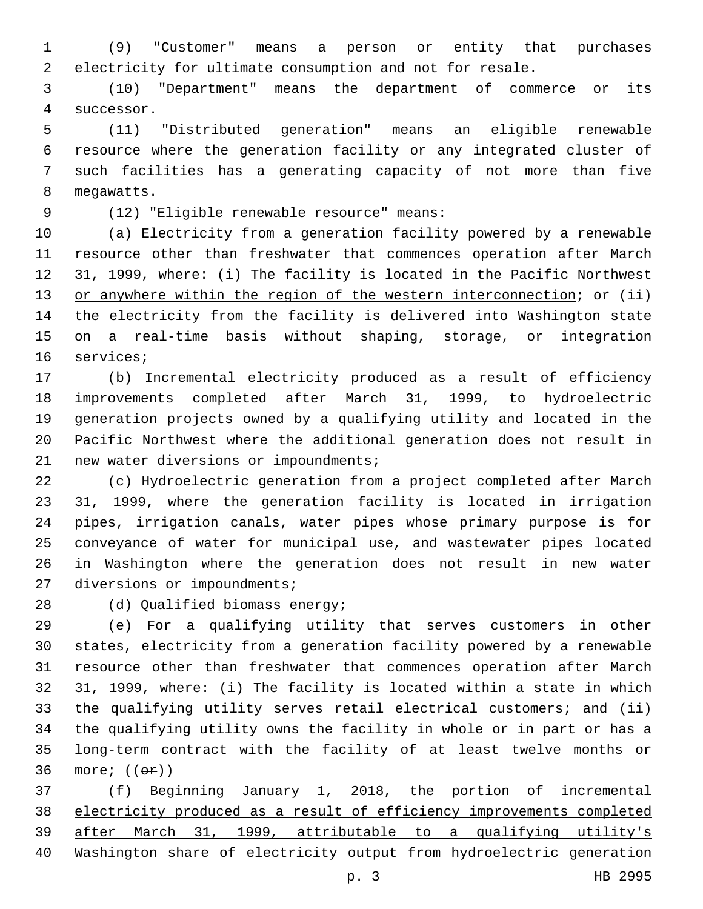(9) "Customer" means a person or entity that purchases electricity for ultimate consumption and not for resale.

 (10) "Department" means the department of commerce or its 4 successor.

 (11) "Distributed generation" means an eligible renewable resource where the generation facility or any integrated cluster of such facilities has a generating capacity of not more than five 8 megawatts.

(12) "Eligible renewable resource" means:9

 (a) Electricity from a generation facility powered by a renewable resource other than freshwater that commences operation after March 31, 1999, where: (i) The facility is located in the Pacific Northwest 13 or anywhere within the region of the western interconnection; or (ii) the electricity from the facility is delivered into Washington state on a real-time basis without shaping, storage, or integration 16 services;

 (b) Incremental electricity produced as a result of efficiency improvements completed after March 31, 1999, to hydroelectric generation projects owned by a qualifying utility and located in the Pacific Northwest where the additional generation does not result in 21 new water diversions or impoundments;

 (c) Hydroelectric generation from a project completed after March 31, 1999, where the generation facility is located in irrigation pipes, irrigation canals, water pipes whose primary purpose is for conveyance of water for municipal use, and wastewater pipes located in Washington where the generation does not result in new water 27 diversions or impoundments;

28 (d) Qualified biomass energy;

 (e) For a qualifying utility that serves customers in other states, electricity from a generation facility powered by a renewable resource other than freshwater that commences operation after March 31, 1999, where: (i) The facility is located within a state in which the qualifying utility serves retail electrical customers; and (ii) the qualifying utility owns the facility in whole or in part or has a long-term contract with the facility of at least twelve months or 36 more;  $((e \cdot \vec{r}))$ 

 (f) Beginning January 1, 2018, the portion of incremental electricity produced as a result of efficiency improvements completed after March 31, 1999, attributable to a qualifying utility's Washington share of electricity output from hydroelectric generation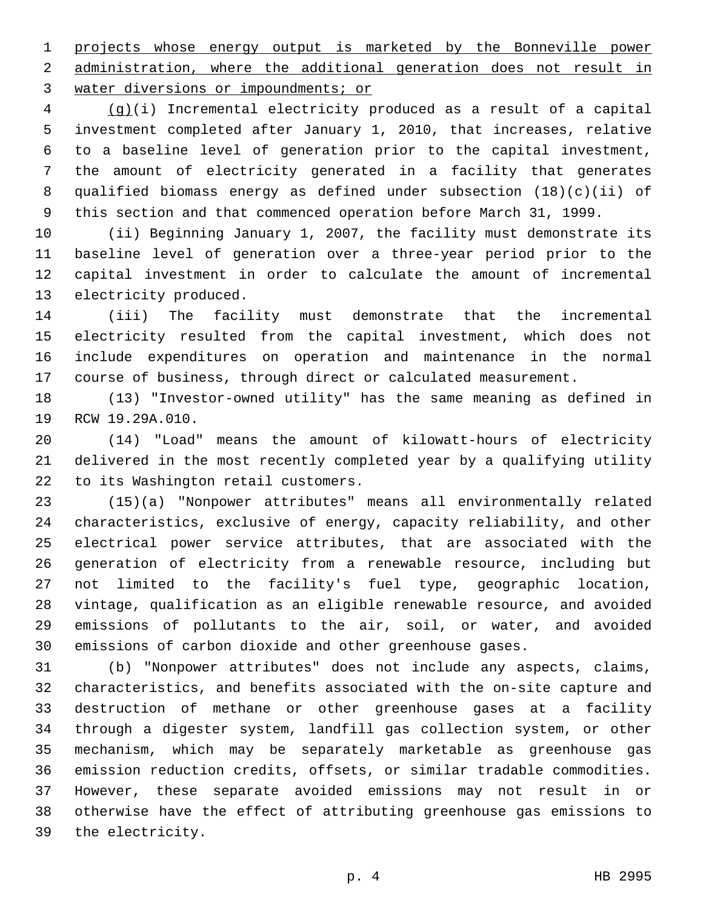projects whose energy output is marketed by the Bonneville power administration, where the additional generation does not result in 3 water diversions or impoundments; or

 (g)(i) Incremental electricity produced as a result of a capital investment completed after January 1, 2010, that increases, relative to a baseline level of generation prior to the capital investment, the amount of electricity generated in a facility that generates qualified biomass energy as defined under subsection (18)(c)(ii) of this section and that commenced operation before March 31, 1999.

 (ii) Beginning January 1, 2007, the facility must demonstrate its baseline level of generation over a three-year period prior to the capital investment in order to calculate the amount of incremental 13 electricity produced.

 (iii) The facility must demonstrate that the incremental electricity resulted from the capital investment, which does not include expenditures on operation and maintenance in the normal course of business, through direct or calculated measurement.

 (13) "Investor-owned utility" has the same meaning as defined in 19 RCW 19.29A.010.

 (14) "Load" means the amount of kilowatt-hours of electricity delivered in the most recently completed year by a qualifying utility 22 to its Washington retail customers.

 (15)(a) "Nonpower attributes" means all environmentally related characteristics, exclusive of energy, capacity reliability, and other electrical power service attributes, that are associated with the generation of electricity from a renewable resource, including but not limited to the facility's fuel type, geographic location, vintage, qualification as an eligible renewable resource, and avoided emissions of pollutants to the air, soil, or water, and avoided emissions of carbon dioxide and other greenhouse gases.

 (b) "Nonpower attributes" does not include any aspects, claims, characteristics, and benefits associated with the on-site capture and destruction of methane or other greenhouse gases at a facility through a digester system, landfill gas collection system, or other mechanism, which may be separately marketable as greenhouse gas emission reduction credits, offsets, or similar tradable commodities. However, these separate avoided emissions may not result in or otherwise have the effect of attributing greenhouse gas emissions to 39 the electricity.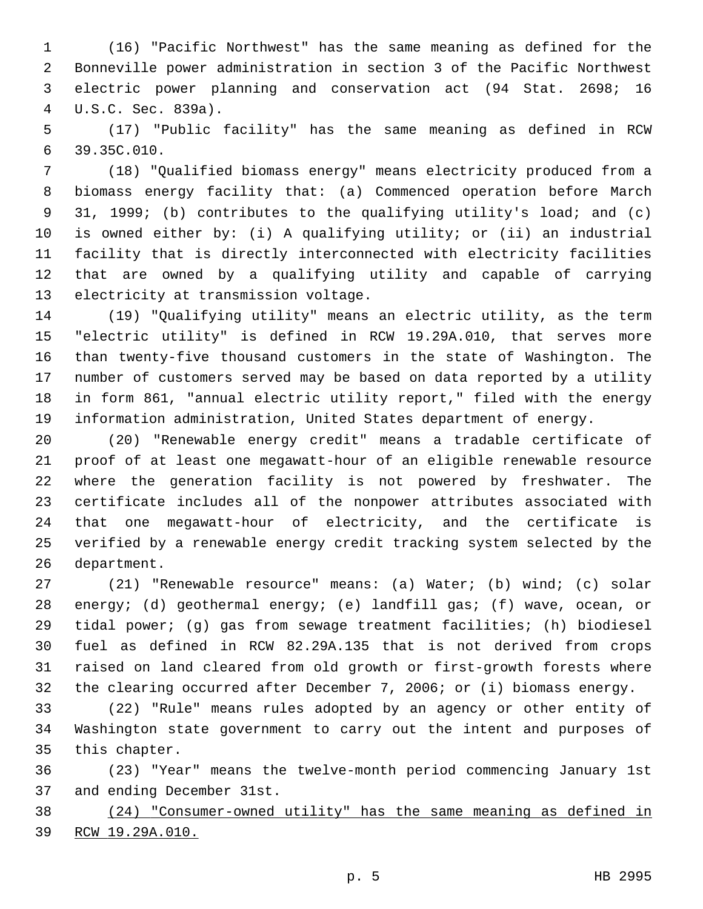(16) "Pacific Northwest" has the same meaning as defined for the Bonneville power administration in section 3 of the Pacific Northwest electric power planning and conservation act (94 Stat. 2698; 16 U.S.C. Sec. 839a).4

 (17) "Public facility" has the same meaning as defined in RCW 39.35C.010.6

 (18) "Qualified biomass energy" means electricity produced from a biomass energy facility that: (a) Commenced operation before March 31, 1999; (b) contributes to the qualifying utility's load; and (c) is owned either by: (i) A qualifying utility; or (ii) an industrial facility that is directly interconnected with electricity facilities that are owned by a qualifying utility and capable of carrying 13 electricity at transmission voltage.

 (19) "Qualifying utility" means an electric utility, as the term "electric utility" is defined in RCW 19.29A.010, that serves more than twenty-five thousand customers in the state of Washington. The number of customers served may be based on data reported by a utility in form 861, "annual electric utility report," filed with the energy information administration, United States department of energy.

 (20) "Renewable energy credit" means a tradable certificate of proof of at least one megawatt-hour of an eligible renewable resource where the generation facility is not powered by freshwater. The certificate includes all of the nonpower attributes associated with that one megawatt-hour of electricity, and the certificate is verified by a renewable energy credit tracking system selected by the 26 department.

 (21) "Renewable resource" means: (a) Water; (b) wind; (c) solar energy; (d) geothermal energy; (e) landfill gas; (f) wave, ocean, or tidal power; (g) gas from sewage treatment facilities; (h) biodiesel fuel as defined in RCW 82.29A.135 that is not derived from crops raised on land cleared from old growth or first-growth forests where the clearing occurred after December 7, 2006; or (i) biomass energy.

 (22) "Rule" means rules adopted by an agency or other entity of Washington state government to carry out the intent and purposes of 35 this chapter.

 (23) "Year" means the twelve-month period commencing January 1st 37 and ending December 31st.

 (24) "Consumer-owned utility" has the same meaning as defined in RCW 19.29A.010.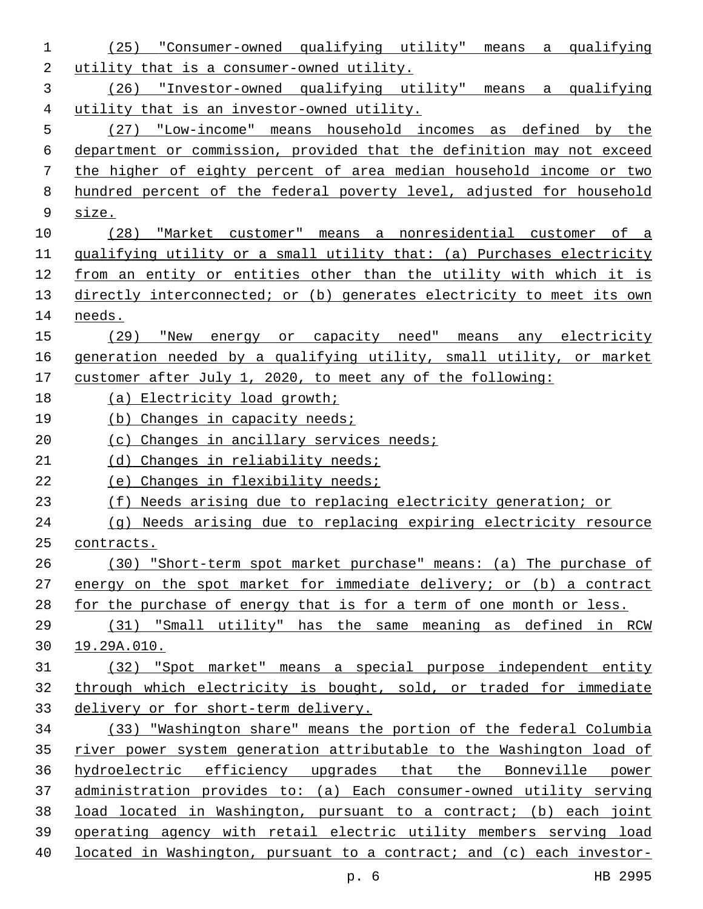| 1  | (25) "Consumer-owned qualifying utility" means a qualifying           |
|----|-----------------------------------------------------------------------|
| 2  | utility that is a consumer-owned utility.                             |
| 3  | (26) "Investor-owned qualifying utility" means a qualifying           |
| 4  | utility that is an investor-owned utility.                            |
| 5  | (27) "Low-income" means household incomes as defined by the           |
| 6  | department or commission, provided that the definition may not exceed |
| 7  | the higher of eighty percent of area median household income or two   |
| 8  | hundred percent of the federal poverty level, adjusted for household  |
| 9  | size.                                                                 |
| 10 | (28) "Market customer" means a nonresidential customer of a           |
| 11 | qualifying utility or a small utility that: (a) Purchases electricity |
| 12 | from an entity or entities other than the utility with which it is    |
| 13 | directly interconnected; or (b) generates electricity to meet its own |
| 14 | needs.                                                                |
| 15 | (29) "New energy or capacity need" means any electricity              |
| 16 | generation needed by a qualifying utility, small utility, or market   |
| 17 | customer after July 1, 2020, to meet any of the following:            |
| 18 | (a) Electricity load growth;                                          |
| 19 | (b) Changes in capacity needs;                                        |
| 20 | (c) Changes in ancillary services needs;                              |
| 21 | (d) Changes in reliability needs;                                     |
| 22 | (e) Changes in flexibility needs;                                     |
| 23 | (f) Needs arising due to replacing electricity generation; or         |
| 24 | (g) Needs arising due to replacing expiring electricity resource      |
| 25 | contracts.                                                            |
| 26 | (30) "Short-term spot market purchase" means: (a) The purchase of     |
| 27 | energy on the spot market for immediate delivery; or (b) a contract   |
| 28 | for the purchase of energy that is for a term of one month or less.   |
| 29 | (31) "Small utility" has the same meaning as defined in RCW           |
| 30 | 19.29A.010.                                                           |
| 31 | (32) "Spot market" means a special purpose independent entity         |
| 32 | through which electricity is bought, sold, or traded for immediate    |
| 33 | delivery or for short-term delivery.                                  |
| 34 | (33) "Washington share" means the portion of the federal Columbia     |
| 35 | river power system generation attributable to the Washington load of  |
| 36 | hydroelectric efficiency upgrades that the Bonneville power           |
| 37 | administration provides to: (a) Each consumer-owned utility serving   |
| 38 | load located in Washington, pursuant to a contract; (b) each joint    |
| 39 | operating agency with retail electric utility members serving load    |
| 40 | located in Washington, pursuant to a contract; and (c) each investor- |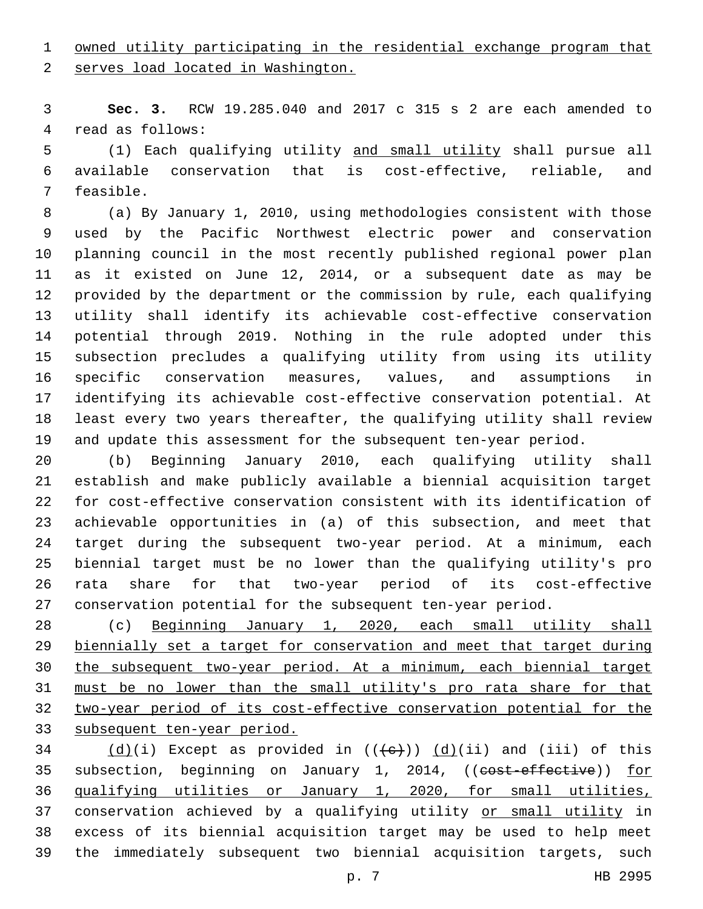## owned utility participating in the residential exchange program that

2 serves load located in Washington.

 **Sec. 3.** RCW 19.285.040 and 2017 c 315 s 2 are each amended to 4 read as follows:

 (1) Each qualifying utility and small utility shall pursue all available conservation that is cost-effective, reliable, and 7 feasible.

 (a) By January 1, 2010, using methodologies consistent with those used by the Pacific Northwest electric power and conservation planning council in the most recently published regional power plan as it existed on June 12, 2014, or a subsequent date as may be provided by the department or the commission by rule, each qualifying utility shall identify its achievable cost-effective conservation potential through 2019. Nothing in the rule adopted under this subsection precludes a qualifying utility from using its utility specific conservation measures, values, and assumptions in identifying its achievable cost-effective conservation potential. At least every two years thereafter, the qualifying utility shall review and update this assessment for the subsequent ten-year period.

 (b) Beginning January 2010, each qualifying utility shall establish and make publicly available a biennial acquisition target for cost-effective conservation consistent with its identification of achievable opportunities in (a) of this subsection, and meet that target during the subsequent two-year period. At a minimum, each biennial target must be no lower than the qualifying utility's pro rata share for that two-year period of its cost-effective conservation potential for the subsequent ten-year period.

 (c) Beginning January 1, 2020, each small utility shall biennially set a target for conservation and meet that target during the subsequent two-year period. At a minimum, each biennial target must be no lower than the small utility's pro rata share for that two-year period of its cost-effective conservation potential for the subsequent ten-year period.

 $(d)(i)$  Except as provided in  $((+e))$   $(d)(ii)$  and (iii) of this 35 subsection, beginning on January 1, 2014, ((cost-effective)) for qualifying utilities or January 1, 2020, for small utilities, 37 conservation achieved by a qualifying utility or small utility in excess of its biennial acquisition target may be used to help meet the immediately subsequent two biennial acquisition targets, such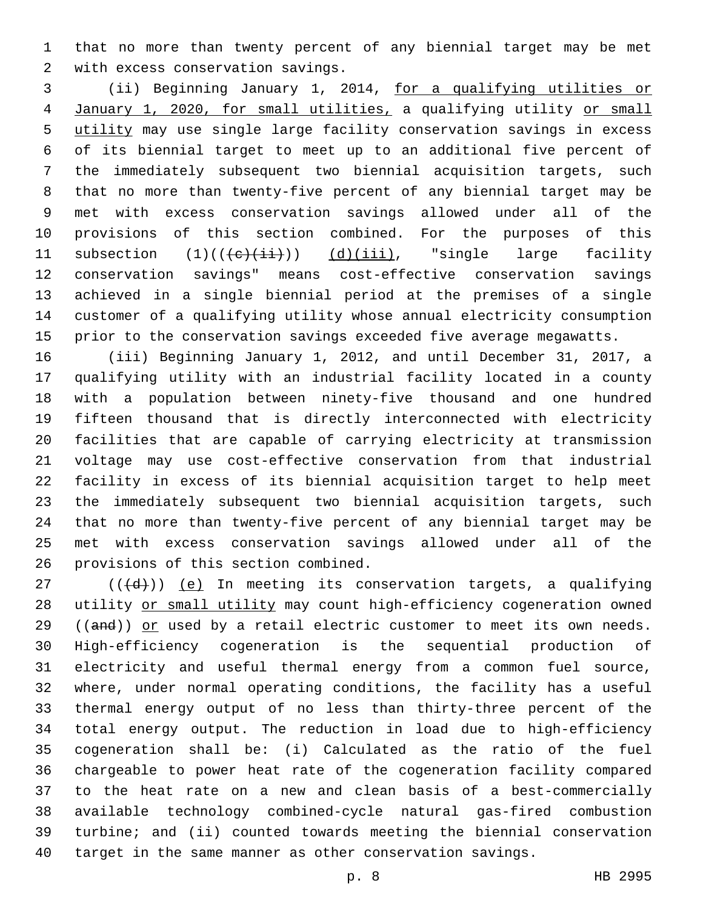that no more than twenty percent of any biennial target may be met 2 with excess conservation savings.

 (ii) Beginning January 1, 2014, for a qualifying utilities or January 1, 2020, for small utilities, a qualifying utility or small utility may use single large facility conservation savings in excess of its biennial target to meet up to an additional five percent of the immediately subsequent two biennial acquisition targets, such that no more than twenty-five percent of any biennial target may be met with excess conservation savings allowed under all of the provisions of this section combined. For the purposes of this 11 subsection  $(1)((\{e\}, i\text{+}))$   $(d)(iii)$ , "single large facility conservation savings" means cost-effective conservation savings achieved in a single biennial period at the premises of a single customer of a qualifying utility whose annual electricity consumption prior to the conservation savings exceeded five average megawatts.

 (iii) Beginning January 1, 2012, and until December 31, 2017, a qualifying utility with an industrial facility located in a county with a population between ninety-five thousand and one hundred fifteen thousand that is directly interconnected with electricity facilities that are capable of carrying electricity at transmission voltage may use cost-effective conservation from that industrial facility in excess of its biennial acquisition target to help meet the immediately subsequent two biennial acquisition targets, such that no more than twenty-five percent of any biennial target may be met with excess conservation savings allowed under all of the 26 provisions of this section combined.

 (( $\left(\frac{d}{d} \right)$ ) (e) In meeting its conservation targets, a qualifying 28 utility or small utility may count high-efficiency cogeneration owned 29 ((and)) or used by a retail electric customer to meet its own needs. High-efficiency cogeneration is the sequential production of electricity and useful thermal energy from a common fuel source, where, under normal operating conditions, the facility has a useful thermal energy output of no less than thirty-three percent of the total energy output. The reduction in load due to high-efficiency cogeneration shall be: (i) Calculated as the ratio of the fuel chargeable to power heat rate of the cogeneration facility compared to the heat rate on a new and clean basis of a best-commercially available technology combined-cycle natural gas-fired combustion turbine; and (ii) counted towards meeting the biennial conservation target in the same manner as other conservation savings.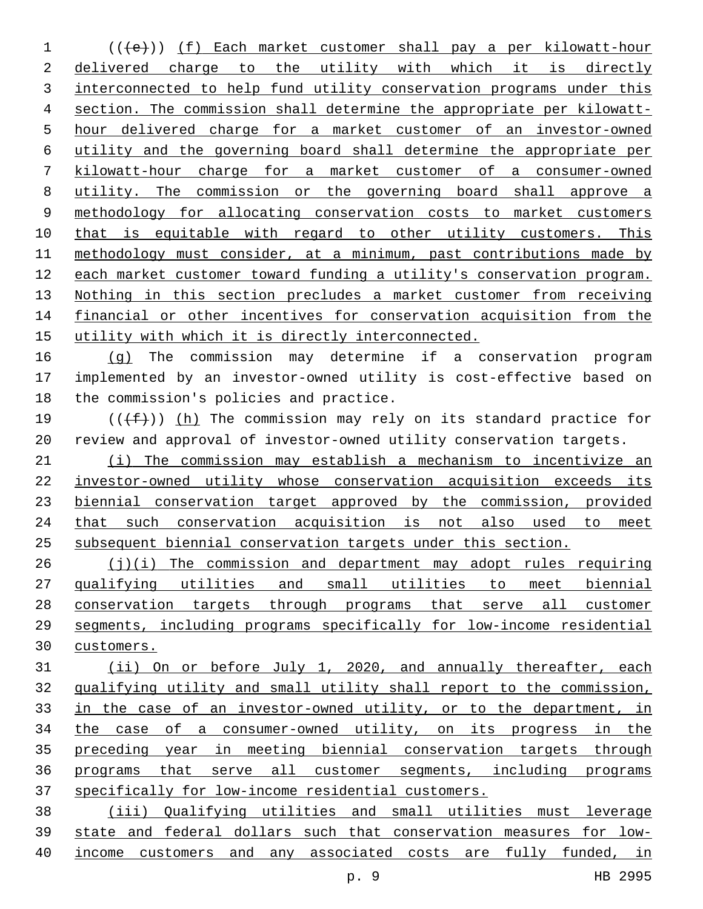(( $\left( +e \right)$ )) (f) Each market customer shall pay a per kilowatt-hour delivered charge to the utility with which it is directly interconnected to help fund utility conservation programs under this section. The commission shall determine the appropriate per kilowatt-5 hour delivered charge for a market customer of an investor-owned utility and the governing board shall determine the appropriate per 7 kilowatt-hour charge for a market customer of a consumer-owned utility. The commission or the governing board shall approve a methodology for allocating conservation costs to market customers 10 that is equitable with regard to other utility customers. This methodology must consider, at a minimum, past contributions made by each market customer toward funding a utility's conservation program. Nothing in this section precludes a market customer from receiving 14 financial or other incentives for conservation acquisition from the utility with which it is directly interconnected.

 (g) The commission may determine if a conservation program implemented by an investor-owned utility is cost-effective based on 18 the commission's policies and practice.

19 ( $(\text{+f-})$ ) (h) The commission may rely on its standard practice for review and approval of investor-owned utility conservation targets.

 (i) The commission may establish a mechanism to incentivize an investor-owned utility whose conservation acquisition exceeds its 23 biennial conservation target approved by the commission, provided that such conservation acquisition is not also used to meet subsequent biennial conservation targets under this section.

 (j)(i) The commission and department may adopt rules requiring 27 qualifying utilities and small utilities to meet biennial conservation targets through programs that serve all customer segments, including programs specifically for low-income residential customers.

 (ii) On or before July 1, 2020, and annually thereafter, each qualifying utility and small utility shall report to the commission, in the case of an investor-owned utility, or to the department, in the case of a consumer-owned utility, on its progress in the preceding year in meeting biennial conservation targets through programs that serve all customer segments, including programs specifically for low-income residential customers.

 (iii) Qualifying utilities and small utilities must leverage state and federal dollars such that conservation measures for low-income customers and any associated costs are fully funded, in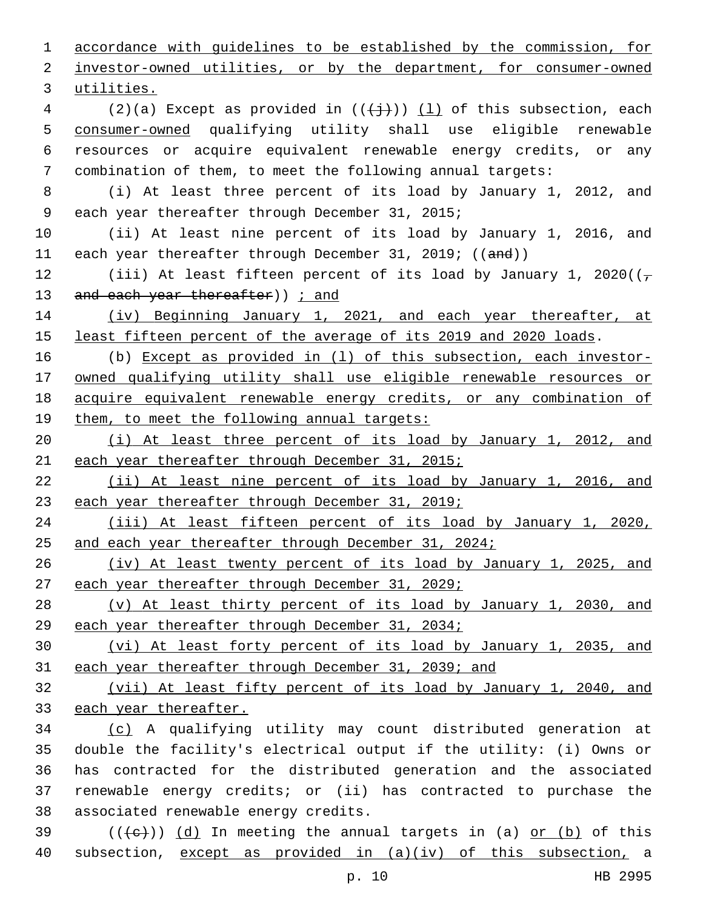accordance with guidelines to be established by the commission, for investor-owned utilities, or by the department, for consumer-owned 3 utilities. 4 (2)(a) Except as provided in  $((+\frac{1}{2}))$  (1) of this subsection, each consumer-owned qualifying utility shall use eligible renewable resources or acquire equivalent renewable energy credits, or any combination of them, to meet the following annual targets: (i) At least three percent of its load by January 1, 2012, and 9 each year thereafter through December 31, 2015; (ii) At least nine percent of its load by January 1, 2016, and 11 each year thereafter through December 31, 2019; ((and)) 12 (iii) At least fifteen percent of its load by January 1, 2020( $(\tau$ 13 and each year thereafter) ) *j* and (iv) Beginning January 1, 2021, and each year thereafter, at 15 least fifteen percent of the average of its 2019 and 2020 loads. (b) Except as provided in (l) of this subsection, each investor- owned qualifying utility shall use eligible renewable resources or acquire equivalent renewable energy credits, or any combination of 19 them, to meet the following annual targets: (i) At least three percent of its load by January 1, 2012, and each year thereafter through December 31, 2015; (ii) At least nine percent of its load by January 1, 2016, and 23 each year thereafter through December 31, 2019; (iii) At least fifteen percent of its load by January 1, 2020, 25 and each year thereafter through December 31, 2024; (iv) At least twenty percent of its load by January 1, 2025, and 27 each year thereafter through December 31, 2029; (v) At least thirty percent of its load by January 1, 2030, and each year thereafter through December 31, 2034; (vi) At least forty percent of its load by January 1, 2035, and each year thereafter through December 31, 2039; and (vii) At least fifty percent of its load by January 1, 2040, and each year thereafter. (c) A qualifying utility may count distributed generation at double the facility's electrical output if the utility: (i) Owns or has contracted for the distributed generation and the associated renewable energy credits; or (ii) has contracted to purchase the 38 associated renewable energy credits.  $((+e+))$   $(d)$  In meeting the annual targets in (a) or (b) of this subsection, except as provided in (a)(iv) of this subsection, a

p. 10 HB 2995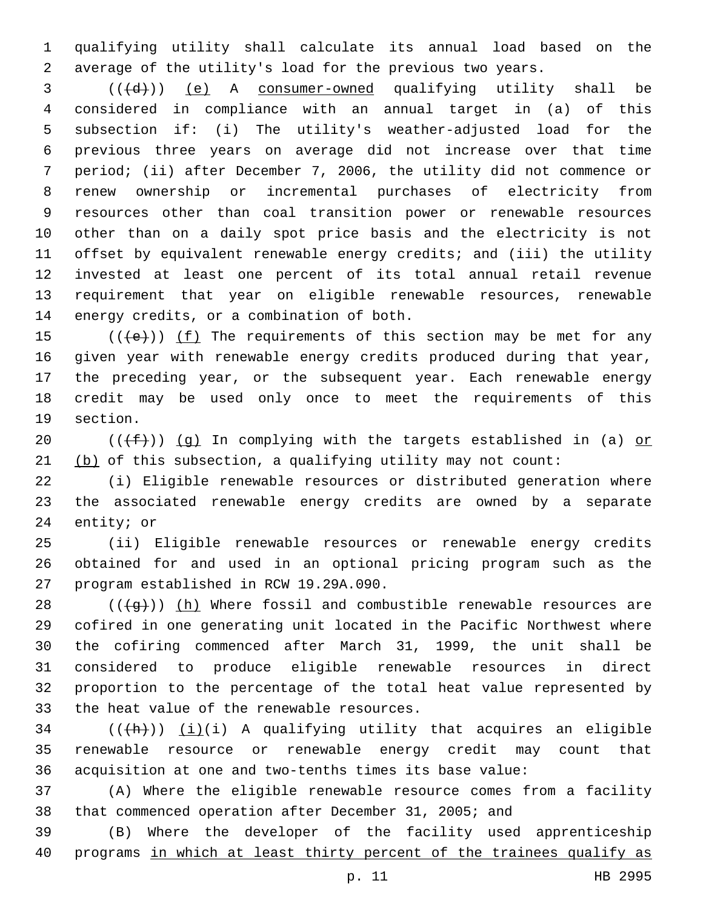qualifying utility shall calculate its annual load based on the average of the utility's load for the previous two years.

  $((\{d\})$   $(e)$  A consumer-owned qualifying utility shall be considered in compliance with an annual target in (a) of this subsection if: (i) The utility's weather-adjusted load for the previous three years on average did not increase over that time period; (ii) after December 7, 2006, the utility did not commence or renew ownership or incremental purchases of electricity from resources other than coal transition power or renewable resources other than on a daily spot price basis and the electricity is not offset by equivalent renewable energy credits; and (iii) the utility invested at least one percent of its total annual retail revenue requirement that year on eligible renewable resources, renewable 14 energy credits, or a combination of both.

 $((+e))$  ( $(f)$  The requirements of this section may be met for any given year with renewable energy credits produced during that year, the preceding year, or the subsequent year. Each renewable energy credit may be used only once to meet the requirements of this 19 section.

20 ( $(\text{+f})$ ) (g) In complying with the targets established in (a) or 21  $(b)$  of this subsection, a qualifying utility may not count:

 (i) Eligible renewable resources or distributed generation where the associated renewable energy credits are owned by a separate 24 entity; or

 (ii) Eligible renewable resources or renewable energy credits obtained for and used in an optional pricing program such as the 27 program established in RCW 19.29A.090.

 $((+g+))$  (h) Where fossil and combustible renewable resources are cofired in one generating unit located in the Pacific Northwest where the cofiring commenced after March 31, 1999, the unit shall be considered to produce eligible renewable resources in direct proportion to the percentage of the total heat value represented by 33 the heat value of the renewable resources.

 (( $\frac{h}{h}$ )) (i)(i) A qualifying utility that acquires an eligible renewable resource or renewable energy credit may count that acquisition at one and two-tenths times its base value:

 (A) Where the eligible renewable resource comes from a facility that commenced operation after December 31, 2005; and

 (B) Where the developer of the facility used apprenticeship programs in which at least thirty percent of the trainees qualify as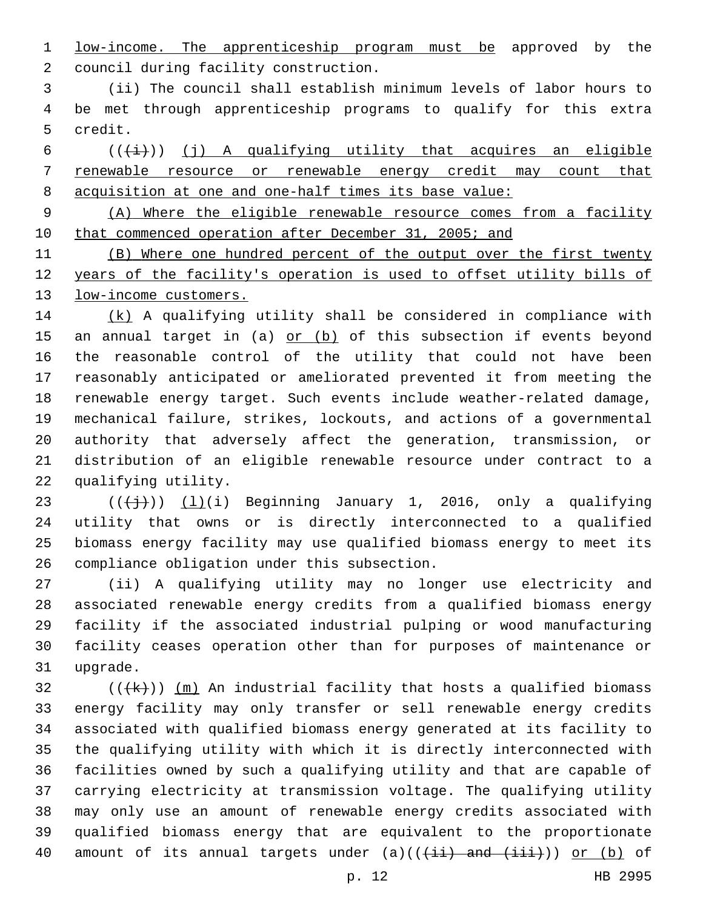low-income. The apprenticeship program must be approved by the 2 council during facility construction.

 (ii) The council shall establish minimum levels of labor hours to be met through apprenticeship programs to qualify for this extra 5 credit.

6  $((\overleftrightarrow{t}))$  (j) A qualifying utility that acquires an eligible renewable resource or renewable energy credit may count that acquisition at one and one-half times its base value:

 (A) Where the eligible renewable resource comes from a facility 10 that commenced operation after December 31, 2005; and

 (B) Where one hundred percent of the output over the first twenty years of the facility's operation is used to offset utility bills of 13 low-income customers.

 (k) A qualifying utility shall be considered in compliance with 15 an annual target in (a) or (b) of this subsection if events beyond the reasonable control of the utility that could not have been reasonably anticipated or ameliorated prevented it from meeting the renewable energy target. Such events include weather-related damage, mechanical failure, strikes, lockouts, and actions of a governmental authority that adversely affect the generation, transmission, or distribution of an eligible renewable resource under contract to a 22 qualifying utility.

 $((\frac{1}{1}))(i)$  Beginning January 1, 2016, only a qualifying utility that owns or is directly interconnected to a qualified biomass energy facility may use qualified biomass energy to meet its 26 compliance obligation under this subsection.

 (ii) A qualifying utility may no longer use electricity and associated renewable energy credits from a qualified biomass energy facility if the associated industrial pulping or wood manufacturing facility ceases operation other than for purposes of maintenance or 31 upgrade.

32 ( $(\frac{1}{k})$ )  $\frac{m}{n}$  An industrial facility that hosts a qualified biomass energy facility may only transfer or sell renewable energy credits associated with qualified biomass energy generated at its facility to the qualifying utility with which it is directly interconnected with facilities owned by such a qualifying utility and that are capable of carrying electricity at transmission voltage. The qualifying utility may only use an amount of renewable energy credits associated with qualified biomass energy that are equivalent to the proportionate 40 amount of its annual targets under  $(a)$   $((+i\overline{i})$  and  $(i\overline{ii})$  or  $(b)$  of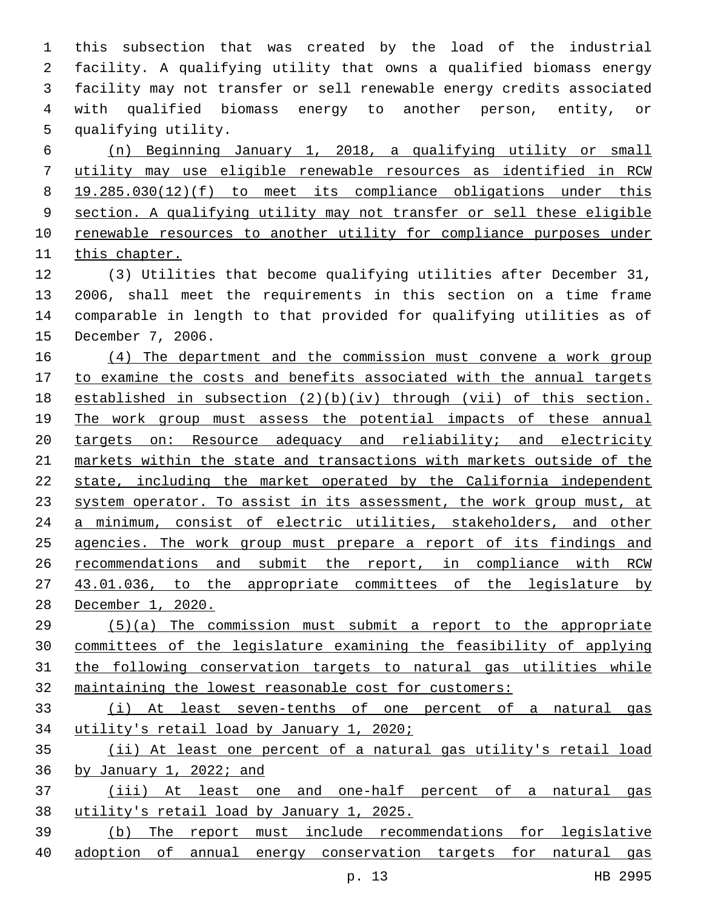this subsection that was created by the load of the industrial facility. A qualifying utility that owns a qualified biomass energy facility may not transfer or sell renewable energy credits associated with qualified biomass energy to another person, entity, or 5 qualifying utility.

 (n) Beginning January 1, 2018, a qualifying utility or small utility may use eligible renewable resources as identified in RCW 19.285.030(12)(f) to meet its compliance obligations under this section. A qualifying utility may not transfer or sell these eligible 10 renewable resources to another utility for compliance purposes under 11 this chapter.

 (3) Utilities that become qualifying utilities after December 31, 2006, shall meet the requirements in this section on a time frame comparable in length to that provided for qualifying utilities as of 15 December 7, 2006.

 (4) The department and the commission must convene a work group 17 to examine the costs and benefits associated with the annual targets established in subsection (2)(b)(iv) through (vii) of this section. 19 The work group must assess the potential impacts of these annual targets on: Resource adequacy and reliability; and electricity markets within the state and transactions with markets outside of the state, including the market operated by the California independent system operator. To assist in its assessment, the work group must, at a minimum, consist of electric utilities, stakeholders, and other agencies. The work group must prepare a report of its findings and recommendations and submit the report, in compliance with RCW 27 43.01.036, to the appropriate committees of the legislature by December 1, 2020.

 (5)(a) The commission must submit a report to the appropriate committees of the legislature examining the feasibility of applying 31 the following conservation targets to natural gas utilities while maintaining the lowest reasonable cost for customers:

 (i) At least seven-tenths of one percent of a natural gas utility's retail load by January 1, 2020;

 (ii) At least one percent of a natural gas utility's retail load by January 1, 2022; and

 (iii) At least one and one-half percent of a natural gas utility's retail load by January 1, 2025.

 (b) The report must include recommendations for legislative adoption of annual energy conservation targets for natural gas

p. 13 HB 2995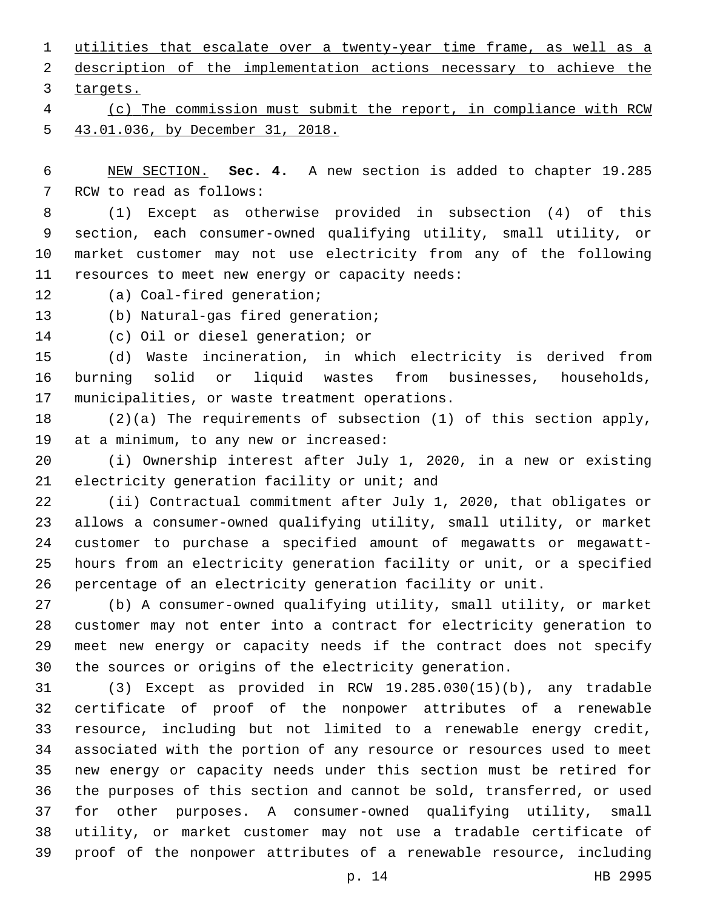utilities that escalate over a twenty-year time frame, as well as a description of the implementation actions necessary to achieve the 3 targets. (c) The commission must submit the report, in compliance with RCW

43.01.036, by December 31, 2018.

 NEW SECTION. **Sec. 4.** A new section is added to chapter 19.285 7 RCW to read as follows:

 (1) Except as otherwise provided in subsection (4) of this section, each consumer-owned qualifying utility, small utility, or market customer may not use electricity from any of the following 11 resources to meet new energy or capacity needs:

12 (a) Coal-fired generation;

13 (b) Natural-gas fired generation;

14 (c) Oil or diesel generation; or

 (d) Waste incineration, in which electricity is derived from burning solid or liquid wastes from businesses, households, 17 municipalities, or waste treatment operations.

 (2)(a) The requirements of subsection (1) of this section apply, 19 at a minimum, to any new or increased:

 (i) Ownership interest after July 1, 2020, in a new or existing 21 electricity generation facility or unit; and

 (ii) Contractual commitment after July 1, 2020, that obligates or allows a consumer-owned qualifying utility, small utility, or market customer to purchase a specified amount of megawatts or megawatt- hours from an electricity generation facility or unit, or a specified percentage of an electricity generation facility or unit.

 (b) A consumer-owned qualifying utility, small utility, or market customer may not enter into a contract for electricity generation to meet new energy or capacity needs if the contract does not specify the sources or origins of the electricity generation.

 (3) Except as provided in RCW 19.285.030(15)(b), any tradable certificate of proof of the nonpower attributes of a renewable resource, including but not limited to a renewable energy credit, associated with the portion of any resource or resources used to meet new energy or capacity needs under this section must be retired for the purposes of this section and cannot be sold, transferred, or used for other purposes. A consumer-owned qualifying utility, small utility, or market customer may not use a tradable certificate of proof of the nonpower attributes of a renewable resource, including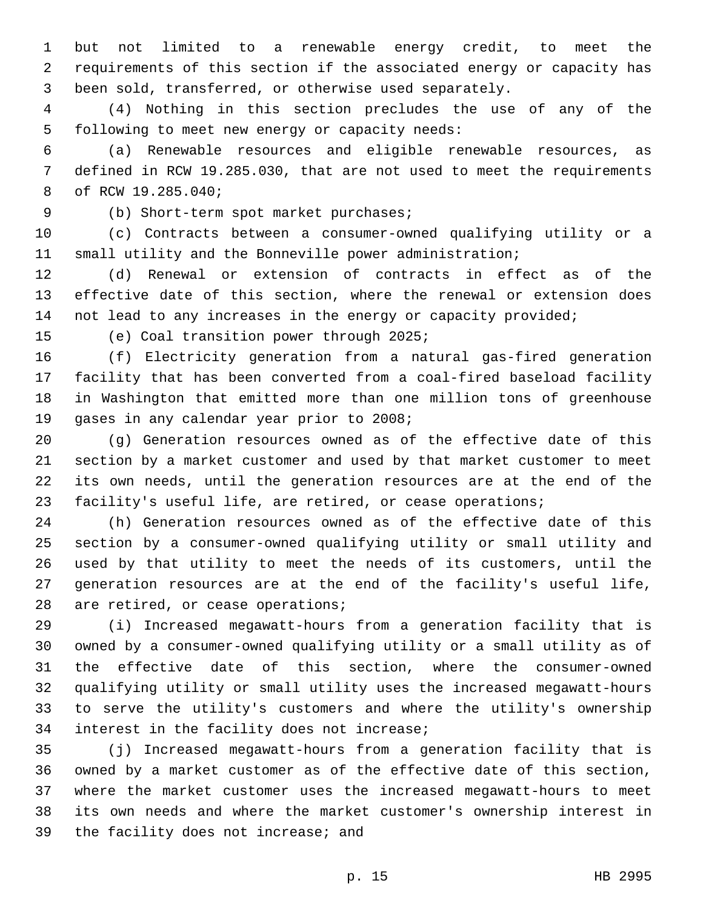but not limited to a renewable energy credit, to meet the requirements of this section if the associated energy or capacity has been sold, transferred, or otherwise used separately.

 (4) Nothing in this section precludes the use of any of the 5 following to meet new energy or capacity needs:

 (a) Renewable resources and eligible renewable resources, as defined in RCW 19.285.030, that are not used to meet the requirements 8 of RCW 19.285.040;

(b) Short-term spot market purchases;9

 (c) Contracts between a consumer-owned qualifying utility or a small utility and the Bonneville power administration;

 (d) Renewal or extension of contracts in effect as of the effective date of this section, where the renewal or extension does not lead to any increases in the energy or capacity provided;

15 (e) Coal transition power through 2025;

 (f) Electricity generation from a natural gas-fired generation facility that has been converted from a coal-fired baseload facility in Washington that emitted more than one million tons of greenhouse 19 gases in any calendar year prior to 2008;

 (g) Generation resources owned as of the effective date of this section by a market customer and used by that market customer to meet its own needs, until the generation resources are at the end of the facility's useful life, are retired, or cease operations;

 (h) Generation resources owned as of the effective date of this section by a consumer-owned qualifying utility or small utility and used by that utility to meet the needs of its customers, until the generation resources are at the end of the facility's useful life, 28 are retired, or cease operations;

 (i) Increased megawatt-hours from a generation facility that is owned by a consumer-owned qualifying utility or a small utility as of the effective date of this section, where the consumer-owned qualifying utility or small utility uses the increased megawatt-hours to serve the utility's customers and where the utility's ownership 34 interest in the facility does not increase;

 (j) Increased megawatt-hours from a generation facility that is owned by a market customer as of the effective date of this section, where the market customer uses the increased megawatt-hours to meet its own needs and where the market customer's ownership interest in 39 the facility does not increase; and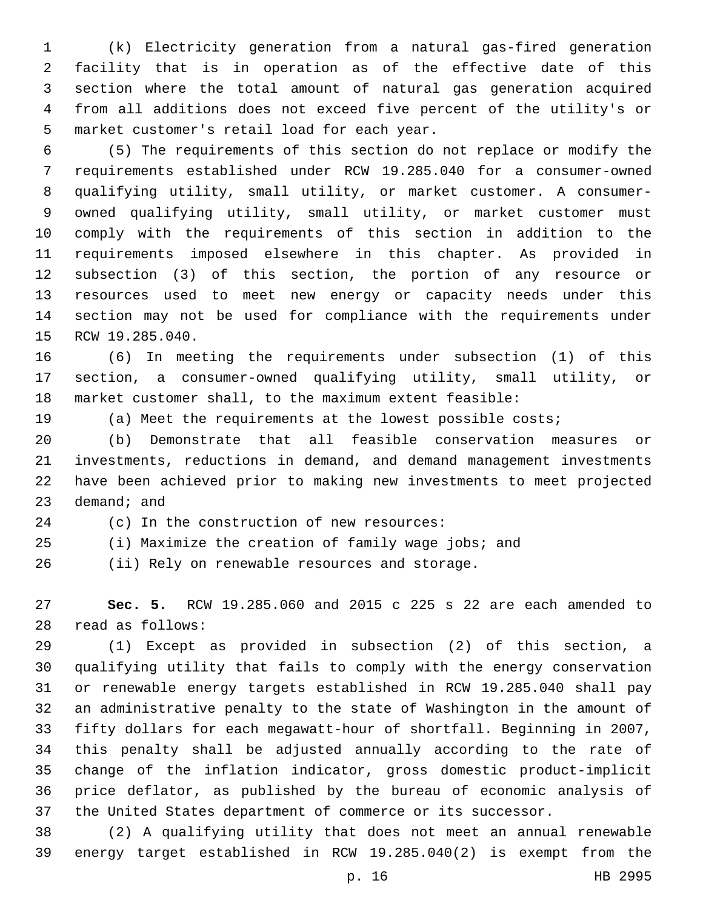(k) Electricity generation from a natural gas-fired generation facility that is in operation as of the effective date of this section where the total amount of natural gas generation acquired from all additions does not exceed five percent of the utility's or 5 market customer's retail load for each year.

 (5) The requirements of this section do not replace or modify the requirements established under RCW 19.285.040 for a consumer-owned qualifying utility, small utility, or market customer. A consumer- owned qualifying utility, small utility, or market customer must comply with the requirements of this section in addition to the requirements imposed elsewhere in this chapter. As provided in subsection (3) of this section, the portion of any resource or resources used to meet new energy or capacity needs under this section may not be used for compliance with the requirements under 15 RCW 19.285.040.

 (6) In meeting the requirements under subsection (1) of this section, a consumer-owned qualifying utility, small utility, or market customer shall, to the maximum extent feasible:

(a) Meet the requirements at the lowest possible costs;

 (b) Demonstrate that all feasible conservation measures or investments, reductions in demand, and demand management investments have been achieved prior to making new investments to meet projected demand; and

24 (c) In the construction of new resources:

(i) Maximize the creation of family wage jobs; and

(ii) Rely on renewable resources and storage.26

 **Sec. 5.** RCW 19.285.060 and 2015 c 225 s 22 are each amended to read as follows:28

 (1) Except as provided in subsection (2) of this section, a qualifying utility that fails to comply with the energy conservation or renewable energy targets established in RCW 19.285.040 shall pay an administrative penalty to the state of Washington in the amount of fifty dollars for each megawatt-hour of shortfall. Beginning in 2007, this penalty shall be adjusted annually according to the rate of change of the inflation indicator, gross domestic product-implicit price deflator, as published by the bureau of economic analysis of the United States department of commerce or its successor.

 (2) A qualifying utility that does not meet an annual renewable energy target established in RCW 19.285.040(2) is exempt from the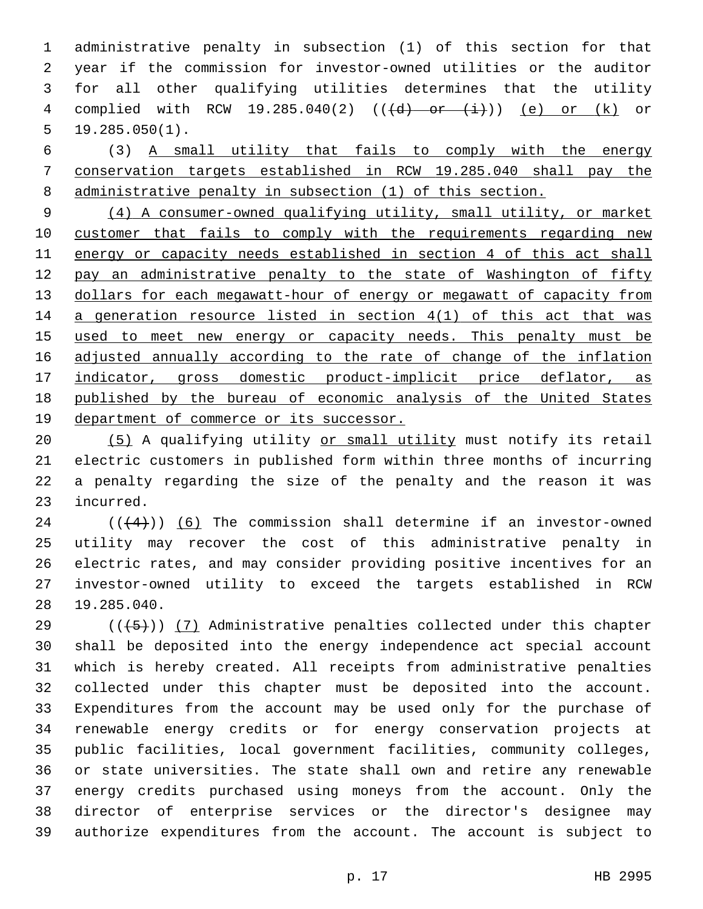administrative penalty in subsection (1) of this section for that year if the commission for investor-owned utilities or the auditor for all other qualifying utilities determines that the utility 4 complied with RCW 19.285.040(2)  $((\{d\} - or -(\frac{i}{i})))(e)$  or  $(k)$  or 19.285.050(1).

 (3) A small utility that fails to comply with the energy conservation targets established in RCW 19.285.040 shall pay the administrative penalty in subsection (1) of this section.

 (4) A consumer-owned qualifying utility, small utility, or market customer that fails to comply with the requirements regarding new energy or capacity needs established in section 4 of this act shall 12 pay an administrative penalty to the state of Washington of fifty dollars for each megawatt-hour of energy or megawatt of capacity from a generation resource listed in section 4(1) of this act that was 15 used to meet new energy or capacity needs. This penalty must be adjusted annually according to the rate of change of the inflation indicator, gross domestic product-implicit price deflator, as published by the bureau of economic analysis of the United States department of commerce or its successor.

 (5) A qualifying utility or small utility must notify its retail electric customers in published form within three months of incurring a penalty regarding the size of the penalty and the reason it was 23 incurred.

 ( $(44)$ )) (6) The commission shall determine if an investor-owned utility may recover the cost of this administrative penalty in electric rates, and may consider providing positive incentives for an investor-owned utility to exceed the targets established in RCW 19.285.040.28

 (( $(45)$ )) (7) Administrative penalties collected under this chapter shall be deposited into the energy independence act special account which is hereby created. All receipts from administrative penalties collected under this chapter must be deposited into the account. Expenditures from the account may be used only for the purchase of renewable energy credits or for energy conservation projects at public facilities, local government facilities, community colleges, or state universities. The state shall own and retire any renewable energy credits purchased using moneys from the account. Only the director of enterprise services or the director's designee may authorize expenditures from the account. The account is subject to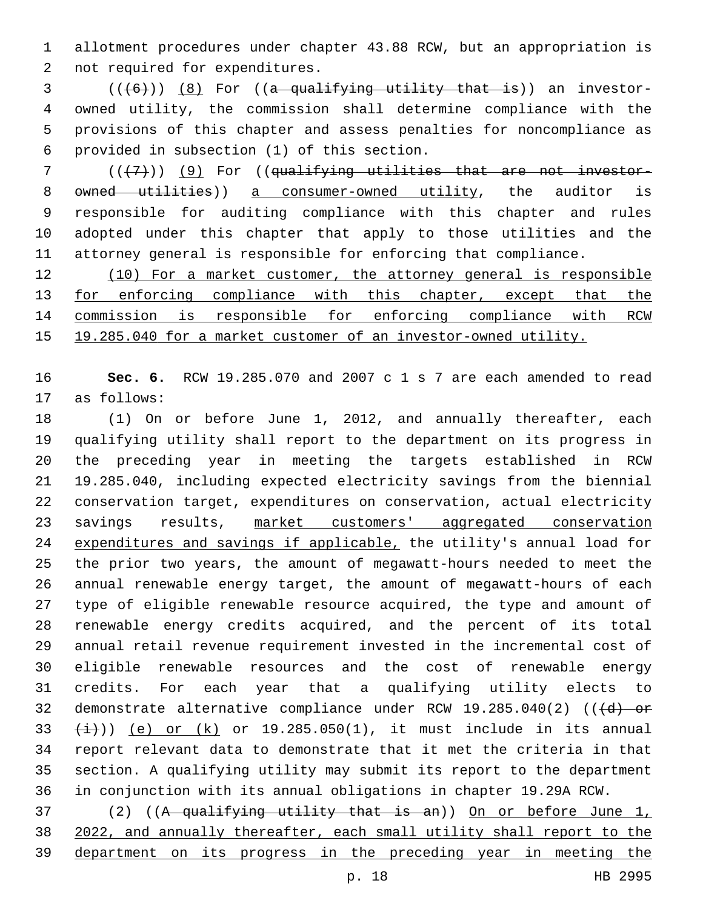allotment procedures under chapter 43.88 RCW, but an appropriation is 2 not required for expenditures.

 ( $(\overline{6})$ )  $\overline{8}$  For ((a qualifying utility that is)) an investor- owned utility, the commission shall determine compliance with the provisions of this chapter and assess penalties for noncompliance as provided in subsection (1) of this section.6

 ( $(\overline{\{7\}})$ ) (9) For ((qualifying utilities that are not investor-8 owned utilities)) a consumer-owned utility, the auditor is responsible for auditing compliance with this chapter and rules adopted under this chapter that apply to those utilities and the attorney general is responsible for enforcing that compliance.

 (10) For a market customer, the attorney general is responsible 13 for enforcing compliance with this chapter, except that the commission is responsible for enforcing compliance with RCW 19.285.040 for a market customer of an investor-owned utility.

 **Sec. 6.** RCW 19.285.070 and 2007 c 1 s 7 are each amended to read 17 as follows:

 (1) On or before June 1, 2012, and annually thereafter, each qualifying utility shall report to the department on its progress in the preceding year in meeting the targets established in RCW 19.285.040, including expected electricity savings from the biennial conservation target, expenditures on conservation, actual electricity savings results, market customers' aggregated conservation 24 expenditures and savings if applicable, the utility's annual load for the prior two years, the amount of megawatt-hours needed to meet the annual renewable energy target, the amount of megawatt-hours of each type of eligible renewable resource acquired, the type and amount of renewable energy credits acquired, and the percent of its total annual retail revenue requirement invested in the incremental cost of eligible renewable resources and the cost of renewable energy credits. For each year that a qualifying utility elects to 32 demonstrate alternative compliance under RCW  $19.285.040(2)$  (( $\overline{(d)}$  or  $33 \left(\frac{1}{1}\right)$ ) (e) or (k) or 19.285.050(1), it must include in its annual report relevant data to demonstrate that it met the criteria in that section. A qualifying utility may submit its report to the department in conjunction with its annual obligations in chapter 19.29A RCW.

 (2) ((A qualifying utility that is an)) On or before June 1, 2022, and annually thereafter, each small utility shall report to the department on its progress in the preceding year in meeting the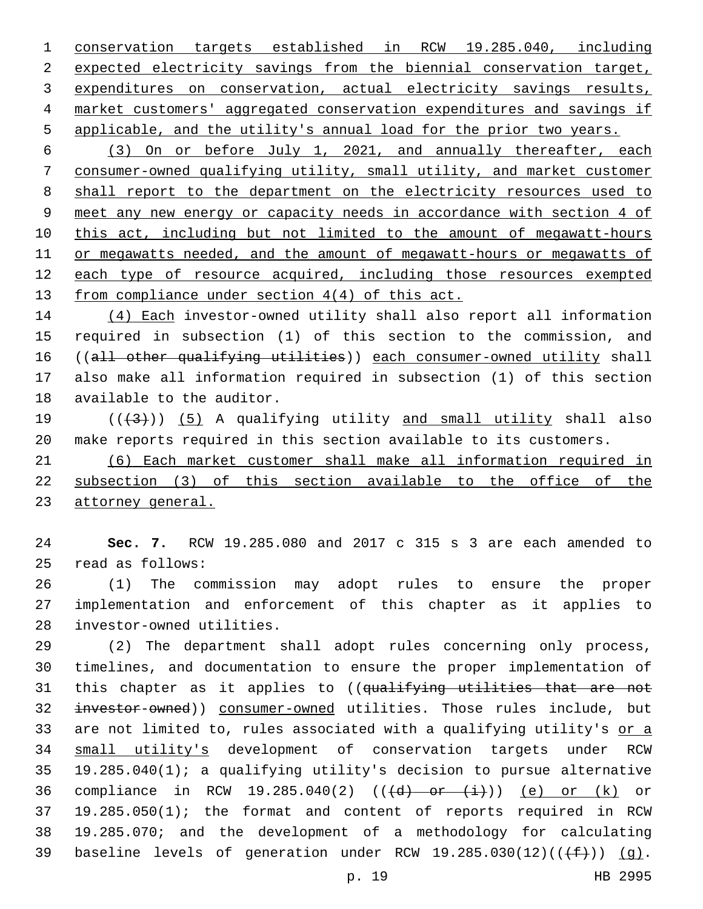conservation targets established in RCW 19.285.040, including 2 expected electricity savings from the biennial conservation target, expenditures on conservation, actual electricity savings results, market customers' aggregated conservation expenditures and savings if applicable, and the utility's annual load for the prior two years.

 (3) On or before July 1, 2021, and annually thereafter, each consumer-owned qualifying utility, small utility, and market customer shall report to the department on the electricity resources used to meet any new energy or capacity needs in accordance with section 4 of this act, including but not limited to the amount of megawatt-hours or megawatts needed, and the amount of megawatt-hours or megawatts of each type of resource acquired, including those resources exempted from compliance under section 4(4) of this act.

 (4) Each investor-owned utility shall also report all information required in subsection (1) of this section to the commission, and ((all other qualifying utilities)) each consumer-owned utility shall also make all information required in subsection (1) of this section 18 available to the auditor.

19  $((+3+))$   $(5)$  A qualifying utility and small utility shall also make reports required in this section available to its customers.

 (6) Each market customer shall make all information required in subsection (3) of this section available to the office of the attorney general.

 **Sec. 7.** RCW 19.285.080 and 2017 c 315 s 3 are each amended to 25 read as follows:

 (1) The commission may adopt rules to ensure the proper implementation and enforcement of this chapter as it applies to 28 investor-owned utilities.

 (2) The department shall adopt rules concerning only process, timelines, and documentation to ensure the proper implementation of 31 this chapter as it applies to ((qualifying utilities that are not 32 investor-owned)) consumer-owned utilities. Those rules include, but 33 are not limited to, rules associated with a qualifying utility's or a small utility's development of conservation targets under RCW 19.285.040(1); a qualifying utility's decision to pursue alternative 36 compliance in RCW 19.285.040(2)  $((\{d\} - or -(\frac{i}{i})))(e)$  or  $(k)$  or 19.285.050(1); the format and content of reports required in RCW 19.285.070; and the development of a methodology for calculating 39 baseline levels of generation under RCW  $19.285.030(12)((\text{+f+}))$  (g).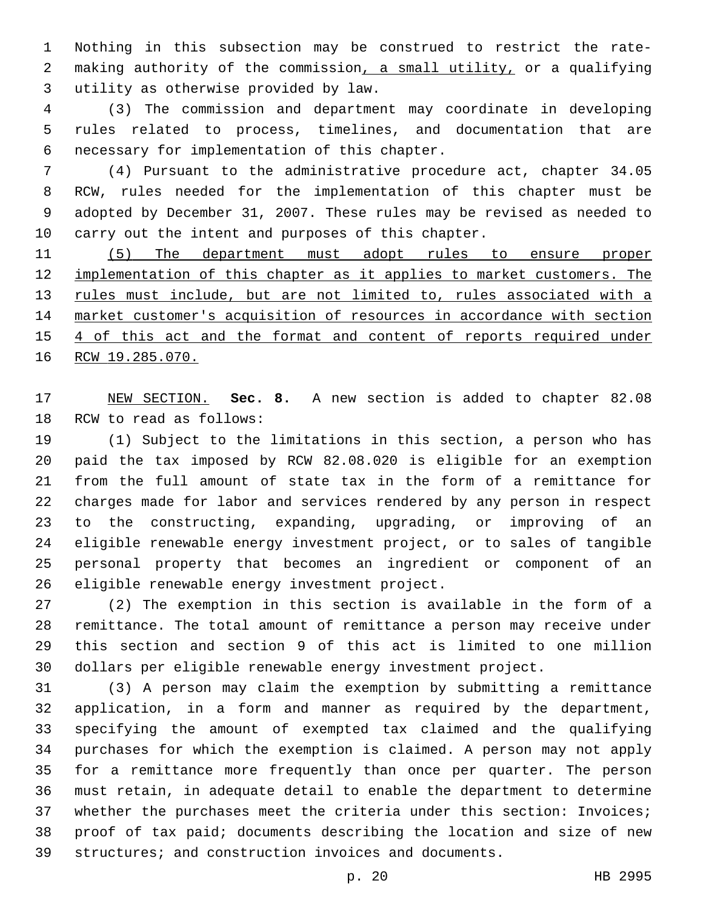Nothing in this subsection may be construed to restrict the rate- making authority of the commission, a small utility, or a qualifying utility as otherwise provided by law.3

 (3) The commission and department may coordinate in developing rules related to process, timelines, and documentation that are necessary for implementation of this chapter.6

 (4) Pursuant to the administrative procedure act, chapter 34.05 RCW, rules needed for the implementation of this chapter must be adopted by December 31, 2007. These rules may be revised as needed to carry out the intent and purposes of this chapter.

11 (5) The department must adopt rules to ensure proper implementation of this chapter as it applies to market customers. The 13 rules must include, but are not limited to, rules associated with a market customer's acquisition of resources in accordance with section 4 of this act and the format and content of reports required under 16 RCW 19.285.070.

 NEW SECTION. **Sec. 8.** A new section is added to chapter 82.08 18 RCW to read as follows:

 (1) Subject to the limitations in this section, a person who has paid the tax imposed by RCW 82.08.020 is eligible for an exemption from the full amount of state tax in the form of a remittance for charges made for labor and services rendered by any person in respect to the constructing, expanding, upgrading, or improving of an eligible renewable energy investment project, or to sales of tangible personal property that becomes an ingredient or component of an 26 eligible renewable energy investment project.

 (2) The exemption in this section is available in the form of a remittance. The total amount of remittance a person may receive under this section and section 9 of this act is limited to one million dollars per eligible renewable energy investment project.

 (3) A person may claim the exemption by submitting a remittance application, in a form and manner as required by the department, specifying the amount of exempted tax claimed and the qualifying purchases for which the exemption is claimed. A person may not apply for a remittance more frequently than once per quarter. The person must retain, in adequate detail to enable the department to determine whether the purchases meet the criteria under this section: Invoices; proof of tax paid; documents describing the location and size of new structures; and construction invoices and documents.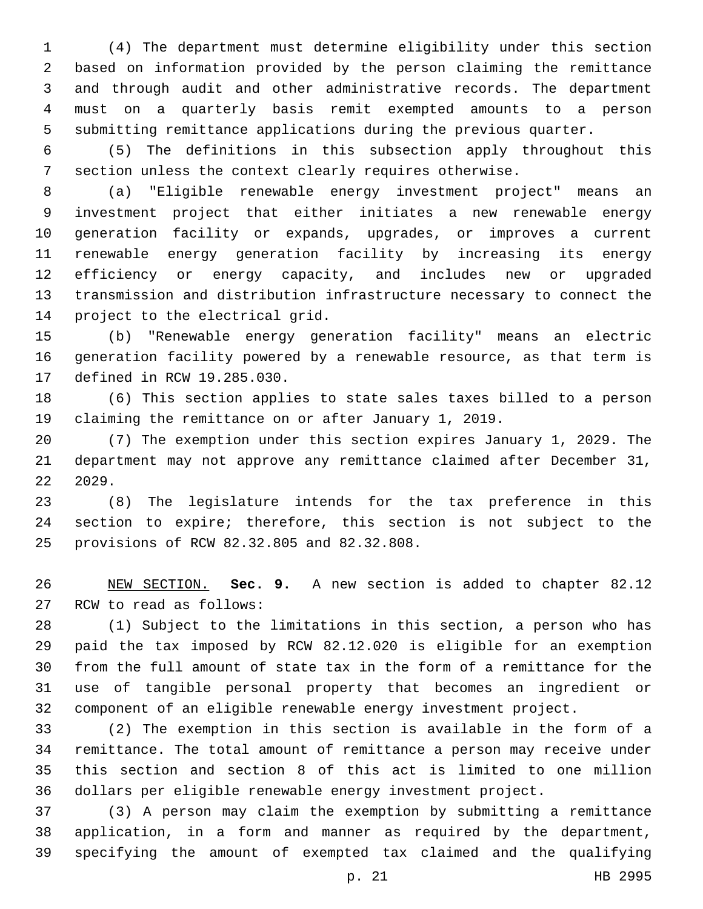(4) The department must determine eligibility under this section based on information provided by the person claiming the remittance and through audit and other administrative records. The department must on a quarterly basis remit exempted amounts to a person submitting remittance applications during the previous quarter.

 (5) The definitions in this subsection apply throughout this section unless the context clearly requires otherwise.

 (a) "Eligible renewable energy investment project" means an investment project that either initiates a new renewable energy generation facility or expands, upgrades, or improves a current renewable energy generation facility by increasing its energy efficiency or energy capacity, and includes new or upgraded transmission and distribution infrastructure necessary to connect the 14 project to the electrical grid.

 (b) "Renewable energy generation facility" means an electric generation facility powered by a renewable resource, as that term is 17 defined in RCW 19.285.030.

 (6) This section applies to state sales taxes billed to a person claiming the remittance on or after January 1, 2019.

 (7) The exemption under this section expires January 1, 2029. The department may not approve any remittance claimed after December 31, 2029.

 (8) The legislature intends for the tax preference in this section to expire; therefore, this section is not subject to the provisions of RCW 82.32.805 and 82.32.808.25

 NEW SECTION. **Sec. 9.** A new section is added to chapter 82.12 27 RCW to read as follows:

 (1) Subject to the limitations in this section, a person who has paid the tax imposed by RCW 82.12.020 is eligible for an exemption from the full amount of state tax in the form of a remittance for the use of tangible personal property that becomes an ingredient or component of an eligible renewable energy investment project.

 (2) The exemption in this section is available in the form of a remittance. The total amount of remittance a person may receive under this section and section 8 of this act is limited to one million dollars per eligible renewable energy investment project.

 (3) A person may claim the exemption by submitting a remittance application, in a form and manner as required by the department, specifying the amount of exempted tax claimed and the qualifying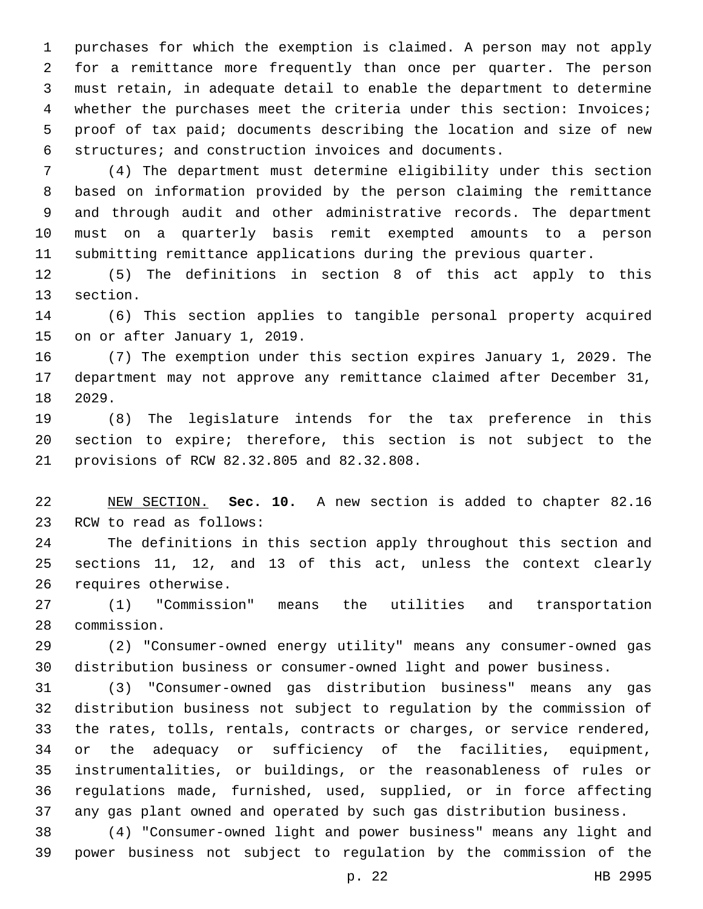purchases for which the exemption is claimed. A person may not apply for a remittance more frequently than once per quarter. The person must retain, in adequate detail to enable the department to determine whether the purchases meet the criteria under this section: Invoices; proof of tax paid; documents describing the location and size of new structures; and construction invoices and documents.

 (4) The department must determine eligibility under this section based on information provided by the person claiming the remittance and through audit and other administrative records. The department must on a quarterly basis remit exempted amounts to a person submitting remittance applications during the previous quarter.

 (5) The definitions in section 8 of this act apply to this 13 section.

 (6) This section applies to tangible personal property acquired 15 on or after January 1, 2019.

 (7) The exemption under this section expires January 1, 2029. The department may not approve any remittance claimed after December 31, 18 2029.

 (8) The legislature intends for the tax preference in this section to expire; therefore, this section is not subject to the 21 provisions of RCW 82.32.805 and 82.32.808.

 NEW SECTION. **Sec. 10.** A new section is added to chapter 82.16 23 RCW to read as follows:

 The definitions in this section apply throughout this section and sections 11, 12, and 13 of this act, unless the context clearly 26 requires otherwise.

 (1) "Commission" means the utilities and transportation 28 commission.

 (2) "Consumer-owned energy utility" means any consumer-owned gas distribution business or consumer-owned light and power business.

 (3) "Consumer-owned gas distribution business" means any gas distribution business not subject to regulation by the commission of the rates, tolls, rentals, contracts or charges, or service rendered, or the adequacy or sufficiency of the facilities, equipment, instrumentalities, or buildings, or the reasonableness of rules or regulations made, furnished, used, supplied, or in force affecting any gas plant owned and operated by such gas distribution business.

 (4) "Consumer-owned light and power business" means any light and power business not subject to regulation by the commission of the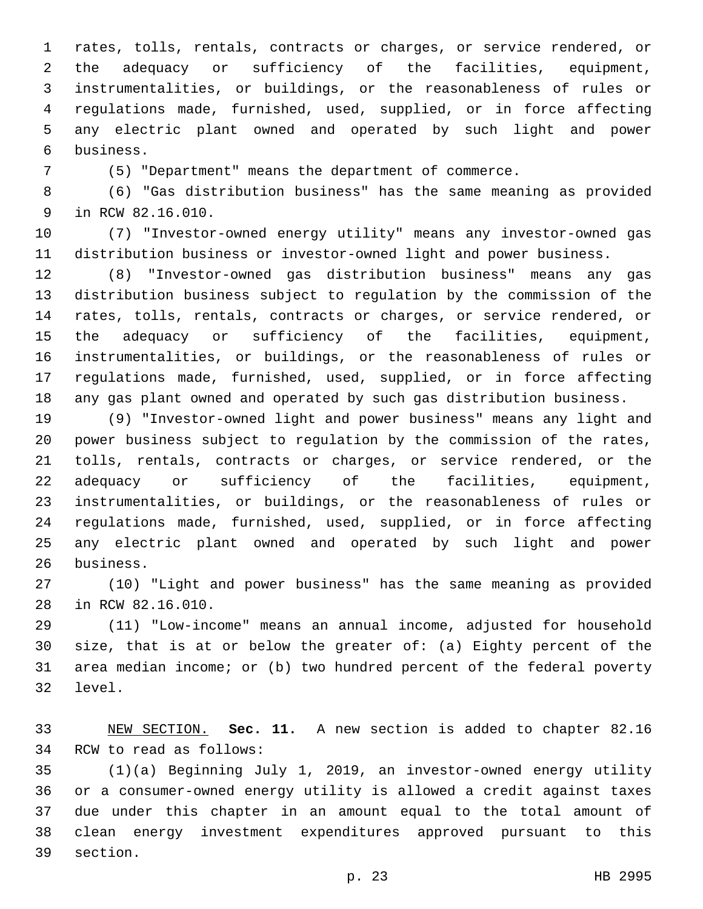rates, tolls, rentals, contracts or charges, or service rendered, or the adequacy or sufficiency of the facilities, equipment, instrumentalities, or buildings, or the reasonableness of rules or regulations made, furnished, used, supplied, or in force affecting any electric plant owned and operated by such light and power business.6

(5) "Department" means the department of commerce.

 (6) "Gas distribution business" has the same meaning as provided 9 in RCW 82.16.010.

 (7) "Investor-owned energy utility" means any investor-owned gas distribution business or investor-owned light and power business.

 (8) "Investor-owned gas distribution business" means any gas distribution business subject to regulation by the commission of the rates, tolls, rentals, contracts or charges, or service rendered, or the adequacy or sufficiency of the facilities, equipment, instrumentalities, or buildings, or the reasonableness of rules or regulations made, furnished, used, supplied, or in force affecting any gas plant owned and operated by such gas distribution business.

 (9) "Investor-owned light and power business" means any light and power business subject to regulation by the commission of the rates, tolls, rentals, contracts or charges, or service rendered, or the adequacy or sufficiency of the facilities, equipment, instrumentalities, or buildings, or the reasonableness of rules or regulations made, furnished, used, supplied, or in force affecting any electric plant owned and operated by such light and power 26 business.

 (10) "Light and power business" has the same meaning as provided 28 in RCW 82.16.010.

 (11) "Low-income" means an annual income, adjusted for household size, that is at or below the greater of: (a) Eighty percent of the area median income; or (b) two hundred percent of the federal poverty 32 level.

 NEW SECTION. **Sec. 11.** A new section is added to chapter 82.16 34 RCW to read as follows:

 (1)(a) Beginning July 1, 2019, an investor-owned energy utility or a consumer-owned energy utility is allowed a credit against taxes due under this chapter in an amount equal to the total amount of clean energy investment expenditures approved pursuant to this 39 section.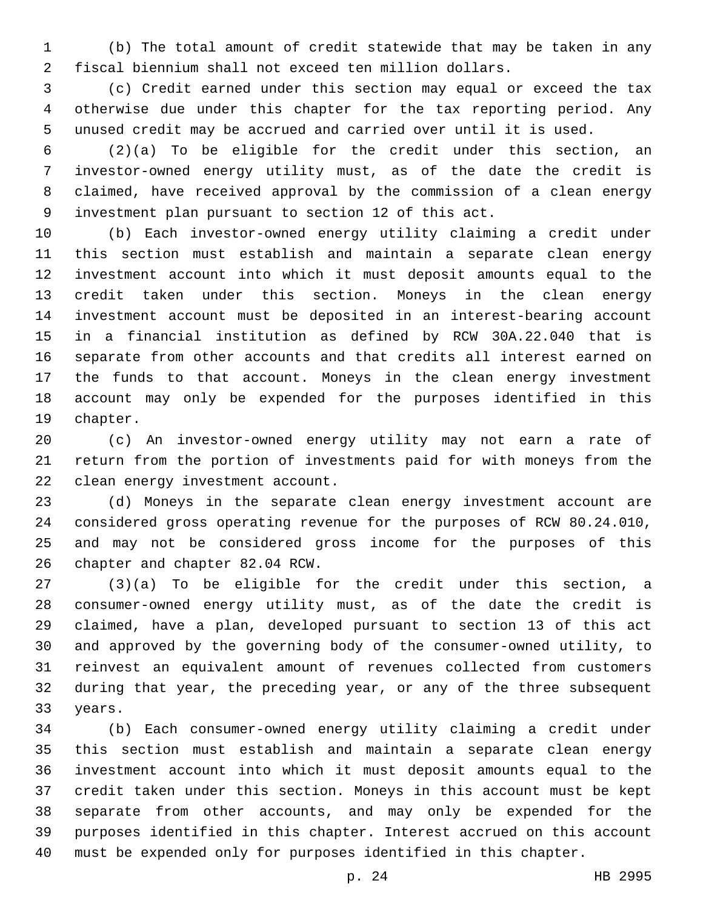(b) The total amount of credit statewide that may be taken in any fiscal biennium shall not exceed ten million dollars.

 (c) Credit earned under this section may equal or exceed the tax otherwise due under this chapter for the tax reporting period. Any unused credit may be accrued and carried over until it is used.

 (2)(a) To be eligible for the credit under this section, an investor-owned energy utility must, as of the date the credit is claimed, have received approval by the commission of a clean energy investment plan pursuant to section 12 of this act.

 (b) Each investor-owned energy utility claiming a credit under this section must establish and maintain a separate clean energy investment account into which it must deposit amounts equal to the credit taken under this section. Moneys in the clean energy investment account must be deposited in an interest-bearing account in a financial institution as defined by RCW 30A.22.040 that is separate from other accounts and that credits all interest earned on the funds to that account. Moneys in the clean energy investment account may only be expended for the purposes identified in this 19 chapter.

 (c) An investor-owned energy utility may not earn a rate of return from the portion of investments paid for with moneys from the 22 clean energy investment account.

 (d) Moneys in the separate clean energy investment account are considered gross operating revenue for the purposes of RCW 80.24.010, and may not be considered gross income for the purposes of this 26 chapter and chapter 82.04 RCW.

 (3)(a) To be eligible for the credit under this section, a consumer-owned energy utility must, as of the date the credit is claimed, have a plan, developed pursuant to section 13 of this act and approved by the governing body of the consumer-owned utility, to reinvest an equivalent amount of revenues collected from customers during that year, the preceding year, or any of the three subsequent 33 years.

 (b) Each consumer-owned energy utility claiming a credit under this section must establish and maintain a separate clean energy investment account into which it must deposit amounts equal to the credit taken under this section. Moneys in this account must be kept separate from other accounts, and may only be expended for the purposes identified in this chapter. Interest accrued on this account must be expended only for purposes identified in this chapter.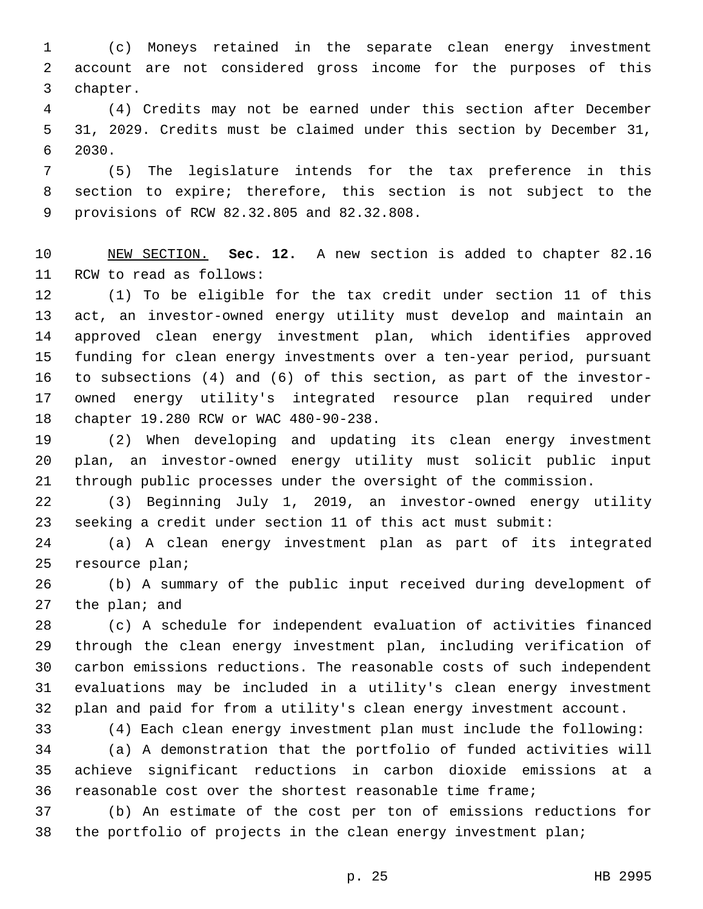(c) Moneys retained in the separate clean energy investment account are not considered gross income for the purposes of this 3 chapter.

 (4) Credits may not be earned under this section after December 31, 2029. Credits must be claimed under this section by December 31, 6 2030.

 (5) The legislature intends for the tax preference in this section to expire; therefore, this section is not subject to the 9 provisions of RCW 82.32.805 and 82.32.808.

 NEW SECTION. **Sec. 12.** A new section is added to chapter 82.16 11 RCW to read as follows:

 (1) To be eligible for the tax credit under section 11 of this act, an investor-owned energy utility must develop and maintain an approved clean energy investment plan, which identifies approved funding for clean energy investments over a ten-year period, pursuant to subsections (4) and (6) of this section, as part of the investor- owned energy utility's integrated resource plan required under 18 chapter 19.280 RCW or WAC 480-90-238.

 (2) When developing and updating its clean energy investment plan, an investor-owned energy utility must solicit public input through public processes under the oversight of the commission.

 (3) Beginning July 1, 2019, an investor-owned energy utility seeking a credit under section 11 of this act must submit:

 (a) A clean energy investment plan as part of its integrated 25 resource plan;

 (b) A summary of the public input received during development of 27 the plan; and

 (c) A schedule for independent evaluation of activities financed through the clean energy investment plan, including verification of carbon emissions reductions. The reasonable costs of such independent evaluations may be included in a utility's clean energy investment plan and paid for from a utility's clean energy investment account.

(4) Each clean energy investment plan must include the following:

 (a) A demonstration that the portfolio of funded activities will achieve significant reductions in carbon dioxide emissions at a reasonable cost over the shortest reasonable time frame;

 (b) An estimate of the cost per ton of emissions reductions for the portfolio of projects in the clean energy investment plan;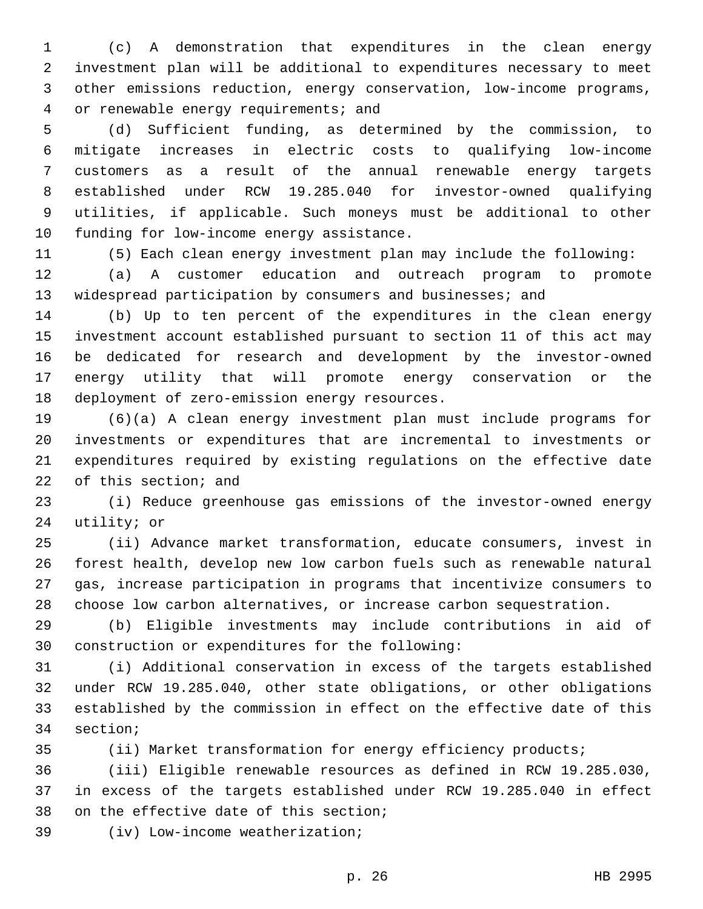(c) A demonstration that expenditures in the clean energy investment plan will be additional to expenditures necessary to meet other emissions reduction, energy conservation, low-income programs, 4 or renewable energy requirements; and

 (d) Sufficient funding, as determined by the commission, to mitigate increases in electric costs to qualifying low-income customers as a result of the annual renewable energy targets established under RCW 19.285.040 for investor-owned qualifying utilities, if applicable. Such moneys must be additional to other 10 funding for low-income energy assistance.

(5) Each clean energy investment plan may include the following:

 (a) A customer education and outreach program to promote widespread participation by consumers and businesses; and

 (b) Up to ten percent of the expenditures in the clean energy investment account established pursuant to section 11 of this act may be dedicated for research and development by the investor-owned energy utility that will promote energy conservation or the 18 deployment of zero-emission energy resources.

 (6)(a) A clean energy investment plan must include programs for investments or expenditures that are incremental to investments or expenditures required by existing regulations on the effective date 22 of this section; and

 (i) Reduce greenhouse gas emissions of the investor-owned energy 24 utility; or

 (ii) Advance market transformation, educate consumers, invest in forest health, develop new low carbon fuels such as renewable natural gas, increase participation in programs that incentivize consumers to choose low carbon alternatives, or increase carbon sequestration.

 (b) Eligible investments may include contributions in aid of 30 construction or expenditures for the following:

 (i) Additional conservation in excess of the targets established under RCW 19.285.040, other state obligations, or other obligations established by the commission in effect on the effective date of this 34 section;

(ii) Market transformation for energy efficiency products;

 (iii) Eligible renewable resources as defined in RCW 19.285.030, in excess of the targets established under RCW 19.285.040 in effect 38 on the effective date of this section;

39 (iv) Low-income weatherization;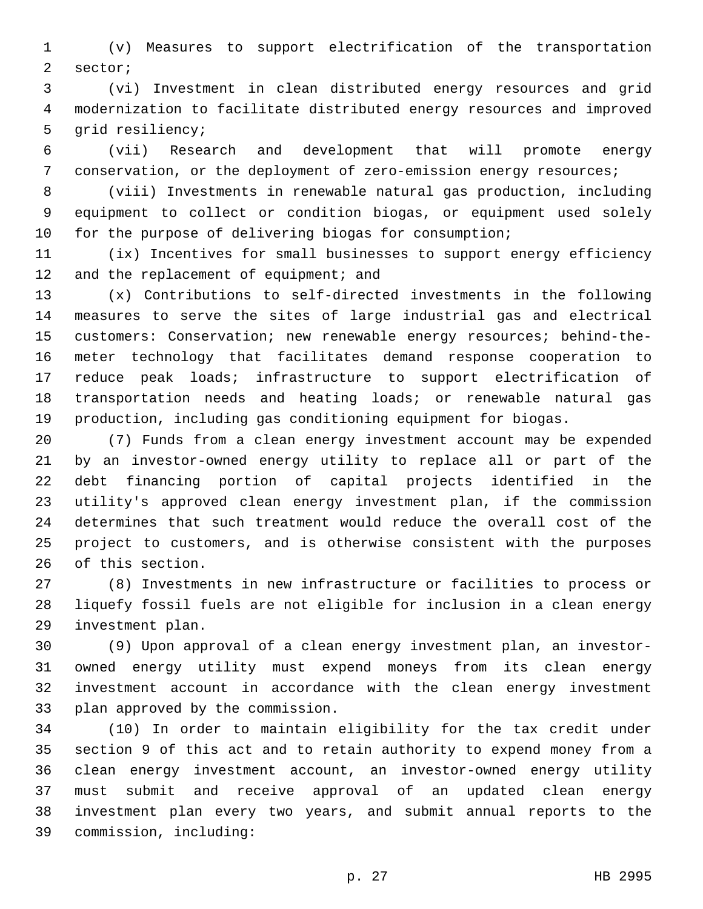(v) Measures to support electrification of the transportation 2 sector;

 (vi) Investment in clean distributed energy resources and grid modernization to facilitate distributed energy resources and improved 5 grid resiliency;

 (vii) Research and development that will promote energy conservation, or the deployment of zero-emission energy resources;

 (viii) Investments in renewable natural gas production, including equipment to collect or condition biogas, or equipment used solely for the purpose of delivering biogas for consumption;

 (ix) Incentives for small businesses to support energy efficiency 12 and the replacement of equipment; and

 (x) Contributions to self-directed investments in the following measures to serve the sites of large industrial gas and electrical customers: Conservation; new renewable energy resources; behind-the- meter technology that facilitates demand response cooperation to reduce peak loads; infrastructure to support electrification of transportation needs and heating loads; or renewable natural gas production, including gas conditioning equipment for biogas.

 (7) Funds from a clean energy investment account may be expended by an investor-owned energy utility to replace all or part of the debt financing portion of capital projects identified in the utility's approved clean energy investment plan, if the commission determines that such treatment would reduce the overall cost of the project to customers, and is otherwise consistent with the purposes 26 of this section.

 (8) Investments in new infrastructure or facilities to process or liquefy fossil fuels are not eligible for inclusion in a clean energy 29 investment plan.

 (9) Upon approval of a clean energy investment plan, an investor- owned energy utility must expend moneys from its clean energy investment account in accordance with the clean energy investment 33 plan approved by the commission.

 (10) In order to maintain eligibility for the tax credit under section 9 of this act and to retain authority to expend money from a clean energy investment account, an investor-owned energy utility must submit and receive approval of an updated clean energy investment plan every two years, and submit annual reports to the commission, including:39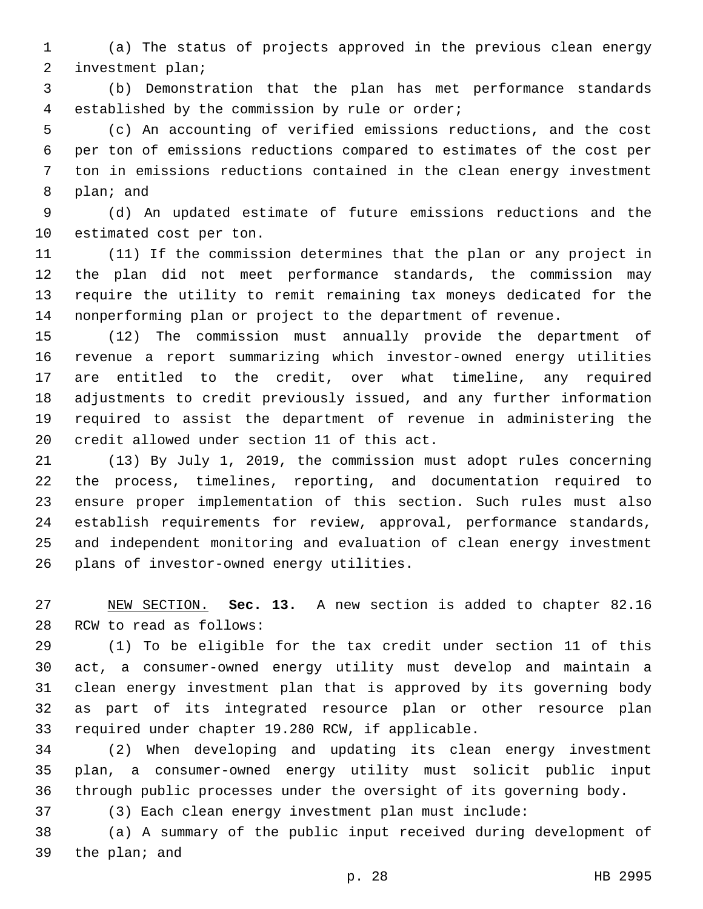(a) The status of projects approved in the previous clean energy 2 investment plan;

 (b) Demonstration that the plan has met performance standards established by the commission by rule or order;4

 (c) An accounting of verified emissions reductions, and the cost per ton of emissions reductions compared to estimates of the cost per ton in emissions reductions contained in the clean energy investment 8 plan; and

 (d) An updated estimate of future emissions reductions and the 10 estimated cost per ton.

 (11) If the commission determines that the plan or any project in the plan did not meet performance standards, the commission may require the utility to remit remaining tax moneys dedicated for the nonperforming plan or project to the department of revenue.

 (12) The commission must annually provide the department of revenue a report summarizing which investor-owned energy utilities are entitled to the credit, over what timeline, any required adjustments to credit previously issued, and any further information required to assist the department of revenue in administering the 20 credit allowed under section 11 of this act.

 (13) By July 1, 2019, the commission must adopt rules concerning the process, timelines, reporting, and documentation required to ensure proper implementation of this section. Such rules must also establish requirements for review, approval, performance standards, and independent monitoring and evaluation of clean energy investment 26 plans of investor-owned energy utilities.

 NEW SECTION. **Sec. 13.** A new section is added to chapter 82.16 28 RCW to read as follows:

 (1) To be eligible for the tax credit under section 11 of this act, a consumer-owned energy utility must develop and maintain a clean energy investment plan that is approved by its governing body as part of its integrated resource plan or other resource plan 33 required under chapter 19.280 RCW, if applicable.

 (2) When developing and updating its clean energy investment plan, a consumer-owned energy utility must solicit public input through public processes under the oversight of its governing body.

(3) Each clean energy investment plan must include:

 (a) A summary of the public input received during development of 39 the plan; and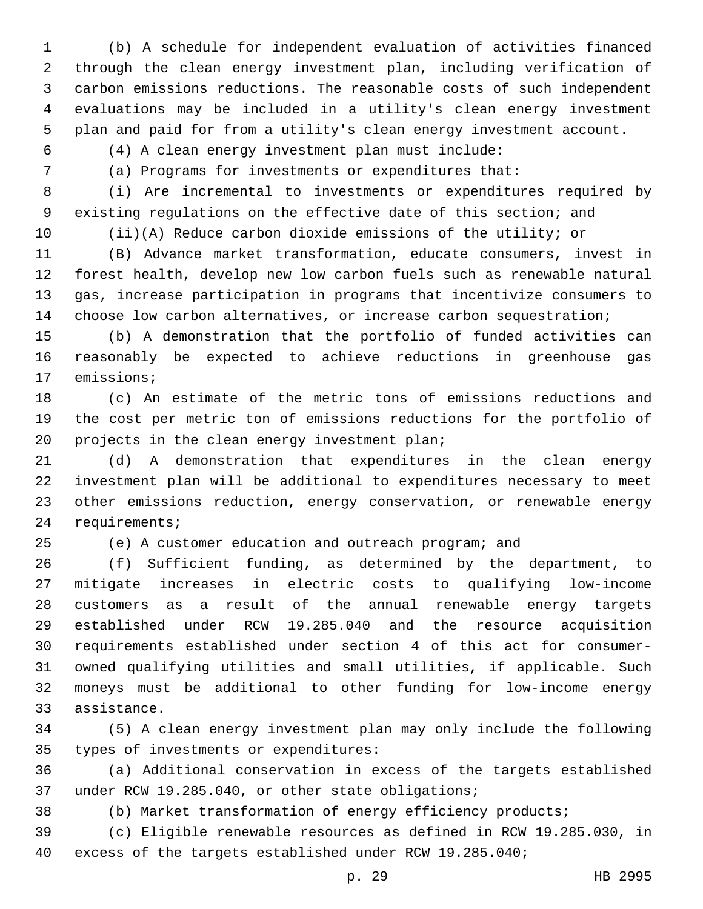(b) A schedule for independent evaluation of activities financed through the clean energy investment plan, including verification of carbon emissions reductions. The reasonable costs of such independent evaluations may be included in a utility's clean energy investment plan and paid for from a utility's clean energy investment account.

(4) A clean energy investment plan must include:

(a) Programs for investments or expenditures that:

 (i) Are incremental to investments or expenditures required by existing regulations on the effective date of this section; and

(ii)(A) Reduce carbon dioxide emissions of the utility; or

 (B) Advance market transformation, educate consumers, invest in forest health, develop new low carbon fuels such as renewable natural gas, increase participation in programs that incentivize consumers to choose low carbon alternatives, or increase carbon sequestration;

 (b) A demonstration that the portfolio of funded activities can reasonably be expected to achieve reductions in greenhouse gas 17 emissions;

 (c) An estimate of the metric tons of emissions reductions and the cost per metric ton of emissions reductions for the portfolio of 20 projects in the clean energy investment plan;

 (d) A demonstration that expenditures in the clean energy investment plan will be additional to expenditures necessary to meet other emissions reduction, energy conservation, or renewable energy 24 requirements;

(e) A customer education and outreach program; and

 (f) Sufficient funding, as determined by the department, to mitigate increases in electric costs to qualifying low-income customers as a result of the annual renewable energy targets established under RCW 19.285.040 and the resource acquisition requirements established under section 4 of this act for consumer- owned qualifying utilities and small utilities, if applicable. Such moneys must be additional to other funding for low-income energy 33 assistance.

 (5) A clean energy investment plan may only include the following 35 types of investments or expenditures:

 (a) Additional conservation in excess of the targets established 37 under RCW 19.285.040, or other state obligations;

(b) Market transformation of energy efficiency products;

 (c) Eligible renewable resources as defined in RCW 19.285.030, in excess of the targets established under RCW 19.285.040;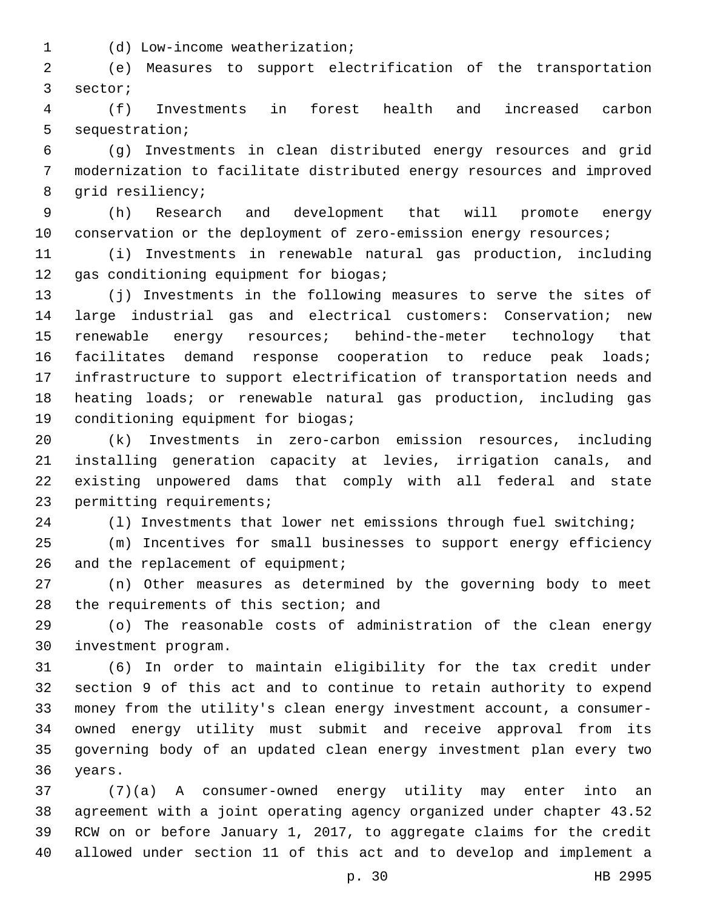(d) Low-income weatherization;1

 (e) Measures to support electrification of the transportation 3 sector;

 (f) Investments in forest health and increased carbon 5 sequestration;

 (g) Investments in clean distributed energy resources and grid modernization to facilitate distributed energy resources and improved 8 qrid resiliency;

 (h) Research and development that will promote energy 10 conservation or the deployment of zero-emission energy resources;

 (i) Investments in renewable natural gas production, including 12 gas conditioning equipment for biogas;

 (j) Investments in the following measures to serve the sites of large industrial gas and electrical customers: Conservation; new renewable energy resources; behind-the-meter technology that 16 facilitates demand response cooperation to reduce peak loads; infrastructure to support electrification of transportation needs and heating loads; or renewable natural gas production, including gas 19 conditioning equipment for biogas;

 (k) Investments in zero-carbon emission resources, including installing generation capacity at levies, irrigation canals, and existing unpowered dams that comply with all federal and state 23 permitting requirements;

(l) Investments that lower net emissions through fuel switching;

 (m) Incentives for small businesses to support energy efficiency 26 and the replacement of equipment;

 (n) Other measures as determined by the governing body to meet 28 the requirements of this section; and

 (o) The reasonable costs of administration of the clean energy investment program.30

 (6) In order to maintain eligibility for the tax credit under section 9 of this act and to continue to retain authority to expend money from the utility's clean energy investment account, a consumer- owned energy utility must submit and receive approval from its governing body of an updated clean energy investment plan every two 36 years.

 (7)(a) A consumer-owned energy utility may enter into an agreement with a joint operating agency organized under chapter 43.52 RCW on or before January 1, 2017, to aggregate claims for the credit allowed under section 11 of this act and to develop and implement a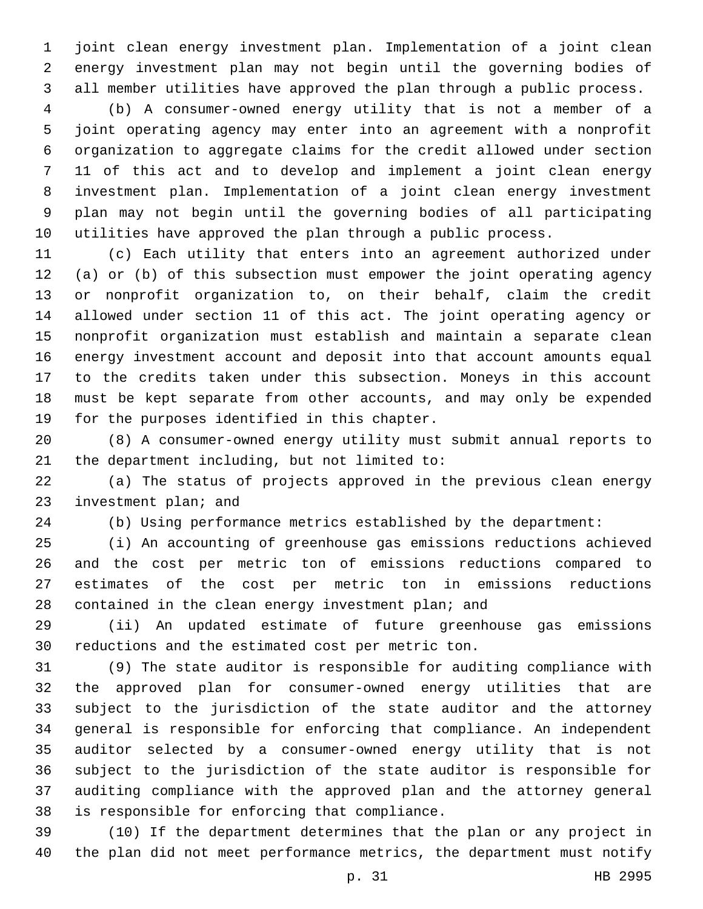joint clean energy investment plan. Implementation of a joint clean energy investment plan may not begin until the governing bodies of all member utilities have approved the plan through a public process.

 (b) A consumer-owned energy utility that is not a member of a joint operating agency may enter into an agreement with a nonprofit organization to aggregate claims for the credit allowed under section 11 of this act and to develop and implement a joint clean energy investment plan. Implementation of a joint clean energy investment plan may not begin until the governing bodies of all participating utilities have approved the plan through a public process.

 (c) Each utility that enters into an agreement authorized under (a) or (b) of this subsection must empower the joint operating agency or nonprofit organization to, on their behalf, claim the credit allowed under section 11 of this act. The joint operating agency or nonprofit organization must establish and maintain a separate clean energy investment account and deposit into that account amounts equal to the credits taken under this subsection. Moneys in this account must be kept separate from other accounts, and may only be expended 19 for the purposes identified in this chapter.

 (8) A consumer-owned energy utility must submit annual reports to 21 the department including, but not limited to:

 (a) The status of projects approved in the previous clean energy 23 investment plan; and

(b) Using performance metrics established by the department:

 (i) An accounting of greenhouse gas emissions reductions achieved and the cost per metric ton of emissions reductions compared to estimates of the cost per metric ton in emissions reductions 28 contained in the clean energy investment plan; and

 (ii) An updated estimate of future greenhouse gas emissions 30 reductions and the estimated cost per metric ton.

 (9) The state auditor is responsible for auditing compliance with the approved plan for consumer-owned energy utilities that are subject to the jurisdiction of the state auditor and the attorney general is responsible for enforcing that compliance. An independent auditor selected by a consumer-owned energy utility that is not subject to the jurisdiction of the state auditor is responsible for auditing compliance with the approved plan and the attorney general 38 is responsible for enforcing that compliance.

 (10) If the department determines that the plan or any project in the plan did not meet performance metrics, the department must notify